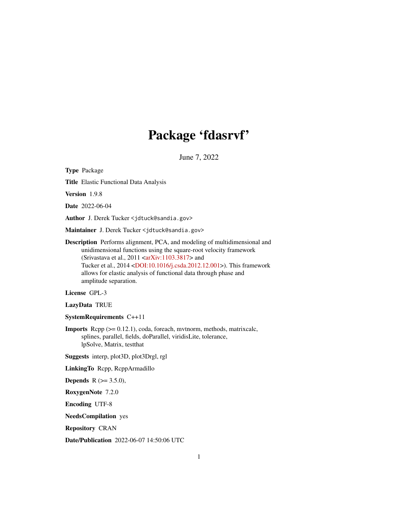# Package 'fdasrvf'

June 7, 2022

<span id="page-0-0"></span>Type Package Title Elastic Functional Data Analysis Version 1.9.8 Date 2022-06-04 Author J. Derek Tucker <jdtuck@sandia.gov> Maintainer J. Derek Tucker <jdtuck@sandia.gov> Description Performs alignment, PCA, and modeling of multidimensional and unidimensional functions using the square-root velocity framework (Srivastava et al.,  $2011 < arXiv:1103.3817>$  and Tucker et al., 2014 [<DOI:10.1016/j.csda.2012.12.001>](https://doi.org/10.1016/j.csda.2012.12.001)). This framework allows for elastic analysis of functional data through phase and amplitude separation. License GPL-3 LazyData TRUE SystemRequirements C++11 Imports Rcpp (>= 0.12.1), coda, foreach, mvtnorm, methods, matrixcalc, splines, parallel, fields, doParallel, viridisLite, tolerance, lpSolve, Matrix, testthat Suggests interp, plot3D, plot3Drgl, rgl LinkingTo Rcpp, RcppArmadillo **Depends** R  $(>= 3.5.0)$ , RoxygenNote 7.2.0 Encoding UTF-8 NeedsCompilation yes Repository CRAN

Date/Publication 2022-06-07 14:50:06 UTC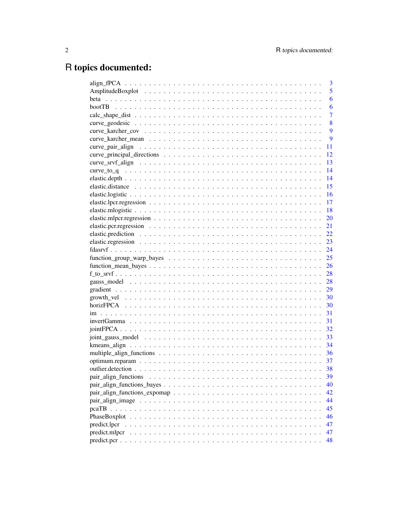# R topics documented:

| 3                                                                                                               |
|-----------------------------------------------------------------------------------------------------------------|
| 5                                                                                                               |
| 6                                                                                                               |
| 6                                                                                                               |
| $\overline{7}$                                                                                                  |
| 8                                                                                                               |
| 9                                                                                                               |
| 9                                                                                                               |
| 11                                                                                                              |
| 12                                                                                                              |
| 13                                                                                                              |
| 14                                                                                                              |
| 14                                                                                                              |
| 15                                                                                                              |
| 16                                                                                                              |
| 17                                                                                                              |
| 18                                                                                                              |
| 20                                                                                                              |
| 21                                                                                                              |
| 22                                                                                                              |
|                                                                                                                 |
|                                                                                                                 |
| 25                                                                                                              |
| 26                                                                                                              |
|                                                                                                                 |
|                                                                                                                 |
| 29                                                                                                              |
|                                                                                                                 |
|                                                                                                                 |
| 31                                                                                                              |
| 31                                                                                                              |
| 32                                                                                                              |
|                                                                                                                 |
| 34                                                                                                              |
| 36                                                                                                              |
| 37                                                                                                              |
| 38                                                                                                              |
| pair_align_functions<br>39                                                                                      |
| 40                                                                                                              |
| $pair\_align\_functions\_expomap \dots \dots \dots \dots \dots \dots \dots \dots \dots \dots \dots \dots$<br>42 |
| 44                                                                                                              |
| 45                                                                                                              |
| 46                                                                                                              |
| predict.lpcr<br>47                                                                                              |
| predict.mlpcr<br>47                                                                                             |
| 48                                                                                                              |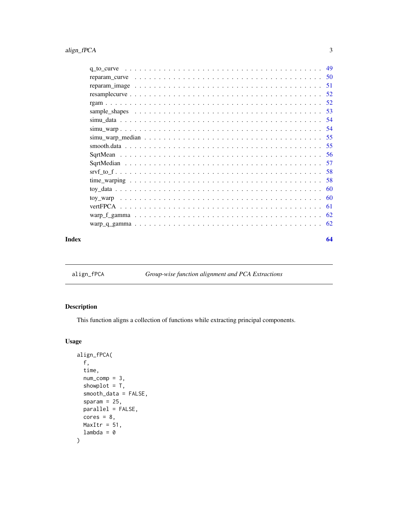<span id="page-2-0"></span>

| Index | 64 |
|-------|----|

align\_fPCA *Group-wise function alignment and PCA Extractions*

### Description

This function aligns a collection of functions while extracting principal components.

### Usage

```
align_fPCA(
  f,
  time,
 num\_comp = 3,
 showplot = T,
  smooth_data = FALSE,
  sparam = 25,
 parallel = FALSE,
 cores = 8,MaxItr = 51,
  lambda = 0\mathcal{L}
```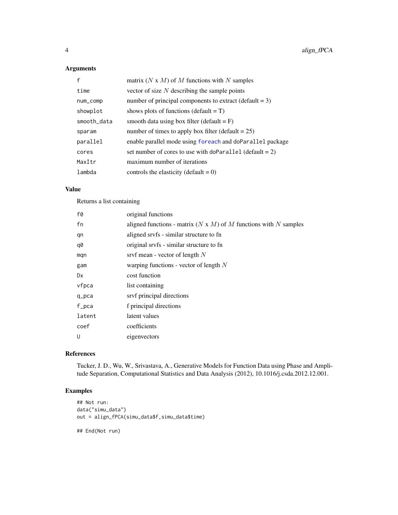### <span id="page-3-0"></span>Arguments

| $\mathsf{f}$ | matrix $(N \times M)$ of M functions with N samples        |
|--------------|------------------------------------------------------------|
| time         | vector of size $N$ describing the sample points            |
| num_comp     | number of principal components to extract (default $= 3$ ) |
| showplot     | shows plots of functions (default $= T$ )                  |
| smooth_data  | smooth data using box filter (default $=$ F)               |
| sparam       | number of times to apply box filter (default $= 25$ )      |
| parallel     | enable parallel mode using foreach and doParallel package  |
| cores        | set number of cores to use with doParallel (default = 2)   |
| MaxItr       | maximum number of iterations                               |
| lambda       | controls the elasticity (default = $0$ )                   |

### Value

Returns a list containing

| f0     | original functions                                                      |
|--------|-------------------------------------------------------------------------|
| fn     | aligned functions - matrix $(N \times M)$ of M functions with N samples |
| qn     | aligned srvfs - similar structure to fn                                 |
| q0     | original srvfs - similar structure to fn                                |
| mqn    | srvf mean - vector of length $N$                                        |
| gam    | warping functions - vector of length $N$                                |
| Dx     | cost function                                                           |
| vfpca  | list containing                                                         |
| q_pca  | srvf principal directions                                               |
| f_pca  | f principal directions                                                  |
| latent | latent values                                                           |
| coef   | coefficients                                                            |
| U      | eigenvectors                                                            |

#### References

Tucker, J. D., Wu, W., Srivastava, A., Generative Models for Function Data using Phase and Amplitude Separation, Computational Statistics and Data Analysis (2012), 10.1016/j.csda.2012.12.001.

### Examples

```
## Not run:
data("simu_data")
out = align_fPCA(simu_data$f,simu_data$time)
```
## End(Not run)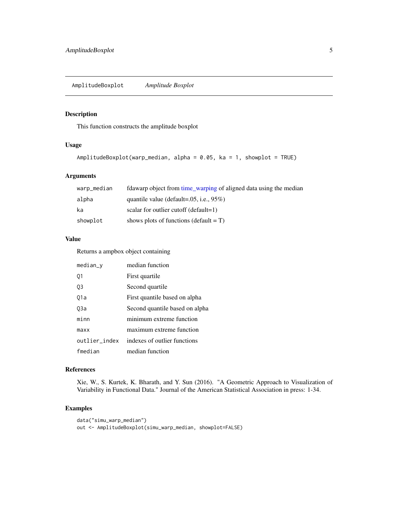### <span id="page-4-0"></span>Description

This function constructs the amplitude boxplot

#### Usage

```
AmplitudeBoxplot(warp_median, alpha = 0.05, ka = 1, showplot = TRUE)
```
### Arguments

| warp_median | fdawarp object from time_warping of aligned data using the median |
|-------------|-------------------------------------------------------------------|
| alpha       | quantile value (default= $.05$ , i.e., $95\%$ )                   |
| ka          | scalar for outlier cutoff (default=1)                             |
| showplot    | shows plots of functions (default $= T$ )                         |

### Value

Returns a ampbox object containing

| median_y      | median function                |
|---------------|--------------------------------|
| Q1            | First quartile                 |
| Q3            | Second quartile                |
| 01a           | First quantile based on alpha  |
| 03a           | Second quantile based on alpha |
| minn          | minimum extreme function       |
| maxx          | maximum extreme function       |
| outlier_index | indexes of outlier functions   |
| fmedian       | median function                |

#### References

Xie, W., S. Kurtek, K. Bharath, and Y. Sun (2016). "A Geometric Approach to Visualization of Variability in Functional Data." Journal of the American Statistical Association in press: 1-34.

```
data("simu_warp_median")
out <- AmplitudeBoxplot(simu_warp_median, showplot=FALSE)
```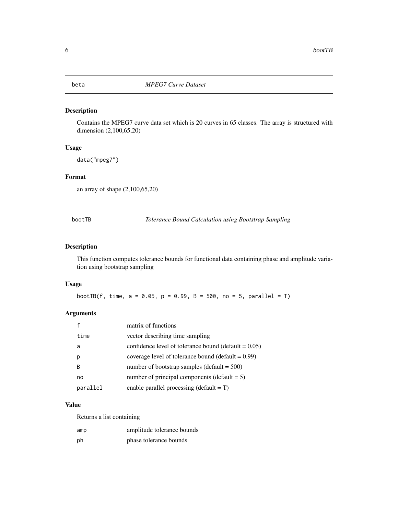<span id="page-5-0"></span>

### Description

Contains the MPEG7 curve data set which is 20 curves in 65 classes. The array is structured with dimension (2,100,65,20)

### Usage

data("mpeg7")

#### Format

an array of shape (2,100,65,20)

bootTB *Tolerance Bound Calculation using Bootstrap Sampling*

### Description

This function computes tolerance bounds for functional data containing phase and amplitude variation using bootstrap sampling

#### Usage

bootTB(f, time,  $a = 0.05$ ,  $p = 0.99$ ,  $B = 500$ ,  $no = 5$ ,  $parallel = T$ )

### Arguments

|          | matrix of functions                                     |
|----------|---------------------------------------------------------|
| time     | vector describing time sampling                         |
| a        | confidence level of tolerance bound (default $= 0.05$ ) |
| р        | coverage level of tolerance bound ( $default = 0.99$ )  |
| B        | number of bootstrap samples (default $= 500$ )          |
| no       | number of principal components (default $= 5$ )         |
| parallel | enable parallel processing $(detault = T)$              |

### Value

Returns a list containing

| amp | amplitude tolerance bounds |
|-----|----------------------------|
| ph  | phase tolerance bounds     |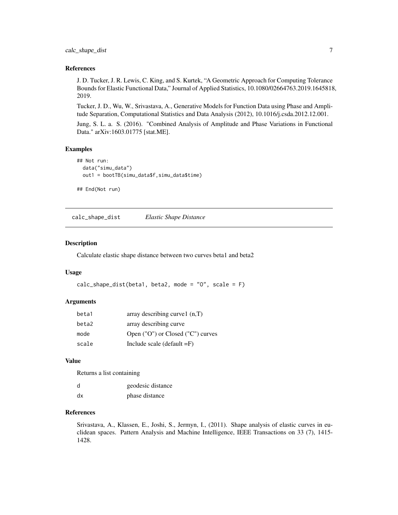<span id="page-6-0"></span>calc\_shape\_dist 7

#### References

J. D. Tucker, J. R. Lewis, C. King, and S. Kurtek, "A Geometric Approach for Computing Tolerance Bounds for Elastic Functional Data," Journal of Applied Statistics, 10.1080/02664763.2019.1645818, 2019.

Tucker, J. D., Wu, W., Srivastava, A., Generative Models for Function Data using Phase and Amplitude Separation, Computational Statistics and Data Analysis (2012), 10.1016/j.csda.2012.12.001.

Jung, S. L. a. S. (2016). "Combined Analysis of Amplitude and Phase Variations in Functional Data." arXiv:1603.01775 [stat.ME].

#### Examples

```
## Not run:
 data("simu_data")
 out1 = bootTB(simu_data$f,simu_data$time)
```

```
## End(Not run)
```
calc\_shape\_dist *Elastic Shape Distance*

#### Description

Calculate elastic shape distance between two curves beta1 and beta2

#### Usage

```
calc\_shape\_dist(beta1, beta2, mode = "0", scale = F)
```
#### **Arguments**

| beta1 | array describing curve $1(n,T)$   |
|-------|-----------------------------------|
| beta2 | array describing curve            |
| mode  | Open ("O") or Closed ("C") curves |
| scale | Include scale (default $=F$ )     |

### Value

Returns a list containing

| d  | geodesic distance |
|----|-------------------|
| dx | phase distance    |

### References

Srivastava, A., Klassen, E., Joshi, S., Jermyn, I., (2011). Shape analysis of elastic curves in euclidean spaces. Pattern Analysis and Machine Intelligence, IEEE Transactions on 33 (7), 1415- 1428.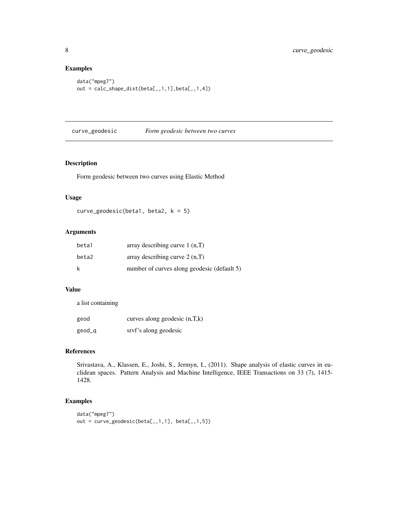### Examples

```
data("mpeg7")
out = calc_shape_dist(beta[,,1,1],beta[,,1,4])
```
curve\_geodesic *Form geodesic between two curves*

### Description

Form geodesic between two curves using Elastic Method

#### Usage

```
curve_geodesic(beta1, beta2, k = 5)
```
### Arguments

| beta1 | array describing curve $1(n,T)$             |
|-------|---------------------------------------------|
| beta2 | array describing curve $2(n,T)$             |
| k     | number of curves along geodesic (default 5) |

### Value

a list containing

| geod   | curves along geodesic $(n,T,k)$ |
|--------|---------------------------------|
| geod_q | srvf's along geodesic           |

#### References

Srivastava, A., Klassen, E., Joshi, S., Jermyn, I., (2011). Shape analysis of elastic curves in euclidean spaces. Pattern Analysis and Machine Intelligence, IEEE Transactions on 33 (7), 1415- 1428.

```
data("mpeg7")
out = curve_geodesic(beta[,,1,1], beta[,,1,5])
```
<span id="page-7-0"></span>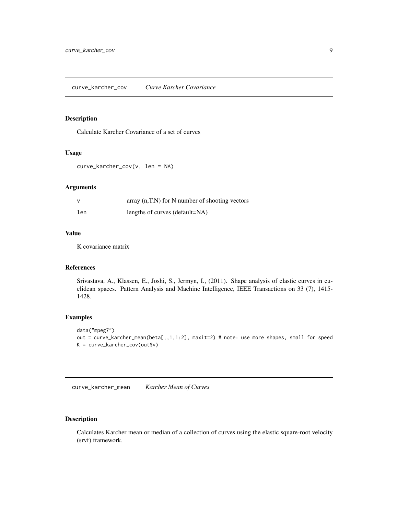### <span id="page-8-0"></span>Description

Calculate Karcher Covariance of a set of curves

#### Usage

```
curve_karcher_cov(v, len = NA)
```
### Arguments

| <sup>V</sup> | array $(n,T,N)$ for N number of shooting vectors |
|--------------|--------------------------------------------------|
| len          | lengths of curves (default=NA)                   |

### Value

K covariance matrix

### References

Srivastava, A., Klassen, E., Joshi, S., Jermyn, I., (2011). Shape analysis of elastic curves in euclidean spaces. Pattern Analysis and Machine Intelligence, IEEE Transactions on 33 (7), 1415- 1428.

#### Examples

```
data("mpeg7")
out = curve_karcher_mean(beta[,,1,1:2], maxit=2) # note: use more shapes, small for speed
K = curve_karcher_cov(out$v)
```
curve\_karcher\_mean *Karcher Mean of Curves*

### Description

Calculates Karcher mean or median of a collection of curves using the elastic square-root velocity (srvf) framework.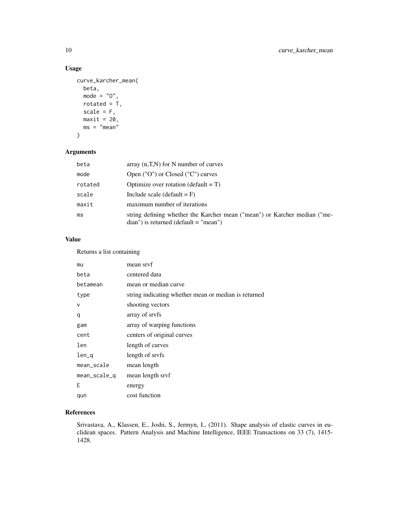## Usage

```
curve_karcher_mean(
 beta,
 mode = "0",rotated = T,
 scale = F,
 maxit = 20,
 ms = "mean")
```
### Arguments

| beta    | array $(n,T,N)$ for N number of curves                                                                                    |
|---------|---------------------------------------------------------------------------------------------------------------------------|
| mode    | Open ("O") or Closed ("C") curves                                                                                         |
| rotated | Optimize over rotation (default $= T$ )                                                                                   |
| scale   | Include scale (default $=$ F)                                                                                             |
| maxit   | maximum number of iterations                                                                                              |
| ms      | string defining whether the Karcher mean ("mean") or Karcher median ("me-<br>$dian'$ ) is returned ( $default = "mean'$ ) |

### Value

Returns a list containing

| mu           | mean srvf                                            |
|--------------|------------------------------------------------------|
| beta         | centered data                                        |
| betamean     | mean or median curve                                 |
| type         | string indicating whether mean or median is returned |
| $\vee$       | shooting vectors                                     |
| q            | array of sryfs                                       |
| gam          | array of warping functions                           |
| cent         | centers of original curves                           |
| len          | length of curves                                     |
| $len_q$      | length of sryfs                                      |
| mean_scale   | mean length                                          |
| mean_scale_q | mean length srvf                                     |
| F            | energy                                               |
| qun          | cost function                                        |

### References

Srivastava, A., Klassen, E., Joshi, S., Jermyn, I., (2011). Shape analysis of elastic curves in euclidean spaces. Pattern Analysis and Machine Intelligence, IEEE Transactions on 33 (7), 1415- 1428.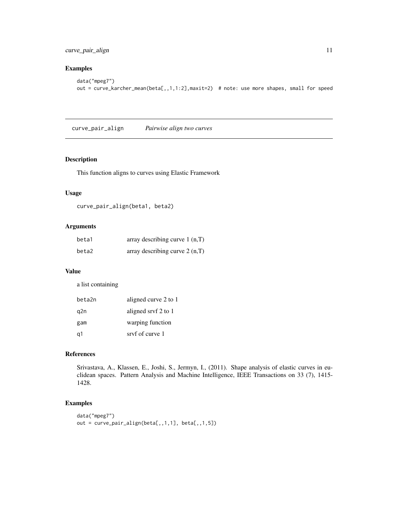<span id="page-10-0"></span>curve\_pair\_align 11

### Examples

```
data("mpeg7")
out = curve_karcher_mean(beta[,,1,1:2],maxit=2) # note: use more shapes, small for speed
```
curve\_pair\_align *Pairwise align two curves*

#### Description

This function aligns to curves using Elastic Framework

### Usage

curve\_pair\_align(beta1, beta2)

### Arguments

| beta1 | array describing curve $1(n,T)$ |
|-------|---------------------------------|
| beta2 | array describing curve $2(n,T)$ |

### Value

a list containing

| beta2n | aligned curve 2 to 1 |
|--------|----------------------|
| q2n    | aligned srvf 2 to 1  |
| gam    | warping function     |
| q1     | sryf of curve 1      |

#### References

Srivastava, A., Klassen, E., Joshi, S., Jermyn, I., (2011). Shape analysis of elastic curves in euclidean spaces. Pattern Analysis and Machine Intelligence, IEEE Transactions on 33 (7), 1415- 1428.

```
data("mpeg7")
out = curve_pair_align(beta[,,1,1], beta[,,1,5])
```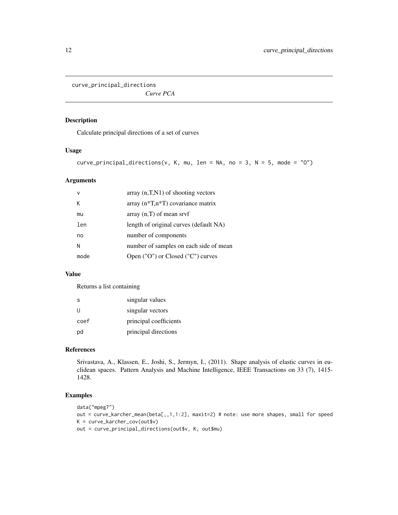<span id="page-11-0"></span>curve\_principal\_directions

*Curve PCA*

#### Description

Calculate principal directions of a set of curves

#### Usage

```
curve_principal_directions(v, K, mu, len = NA, no = 3, N = 5, mode = "0")
```
### Arguments

| $\mathsf{v}$ | $\alpha$ array $(n, T, N1)$ of shooting vectors   |
|--------------|---------------------------------------------------|
| К            | array $(n\text{*}T,n\text{*}T)$ covariance matrix |
| mu           | array $(n,T)$ of mean srvf                        |
| len          | length of original curves (default NA)            |
| no           | number of components                              |
| N            | number of samples on each side of mean            |
| mode         | Open ("O") or Closed ("C") curves                 |

#### Value

Returns a list containing

| S    | singular values        |
|------|------------------------|
| U    | singular vectors       |
| coef | principal coefficients |
| pd   | principal directions   |

#### References

Srivastava, A., Klassen, E., Joshi, S., Jermyn, I., (2011). Shape analysis of elastic curves in euclidean spaces. Pattern Analysis and Machine Intelligence, IEEE Transactions on 33 (7), 1415- 1428.

```
data("mpeg7")
out = curve_karcher_mean(beta[,,1,1:2], maxit=2) # note: use more shapes, small for speed
K = curve_karcher_cov(out$v)
out = curve_principal_directions(out$v, K, out$mu)
```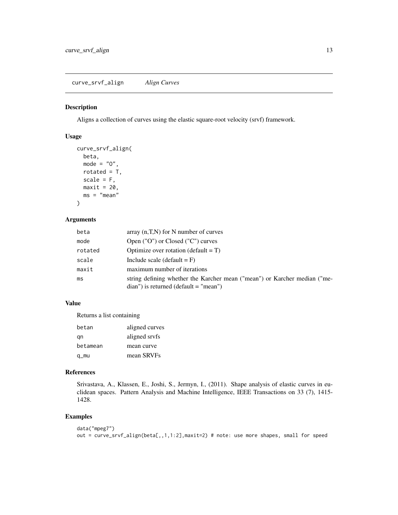<span id="page-12-0"></span>curve\_srvf\_align *Align Curves*

#### Description

Aligns a collection of curves using the elastic square-root velocity (srvf) framework.

### Usage

```
curve_srvf_align(
 beta,
 mode = "0",rotated = T,
 scale = F,
 maxit = 20,
 ms = "mean")
```
#### Arguments

| beta    | array $(n,T,N)$ for N number of curves                                    |
|---------|---------------------------------------------------------------------------|
| mode    | Open ("O") or Closed ("C") curves                                         |
| rotated | Optimize over rotation (default $= T$ )                                   |
| scale   | Include scale (default = $F$ )                                            |
| maxit   | maximum number of iterations                                              |
| ms      | string defining whether the Karcher mean ("mean") or Karcher median ("me- |
|         | $dian'$ ) is returned (default = "mean")                                  |

### Value

Returns a list containing

| betan    | aligned curves |
|----------|----------------|
| gn       | aligned srvfs  |
| betamean | mean curve     |
| q_mu     | mean SRVFs     |

### References

Srivastava, A., Klassen, E., Joshi, S., Jermyn, I., (2011). Shape analysis of elastic curves in euclidean spaces. Pattern Analysis and Machine Intelligence, IEEE Transactions on 33 (7), 1415- 1428.

```
data("mpeg7")
out = curve_srvf_align(beta[,,1,1:2],maxit=2) # note: use more shapes, small for speed
```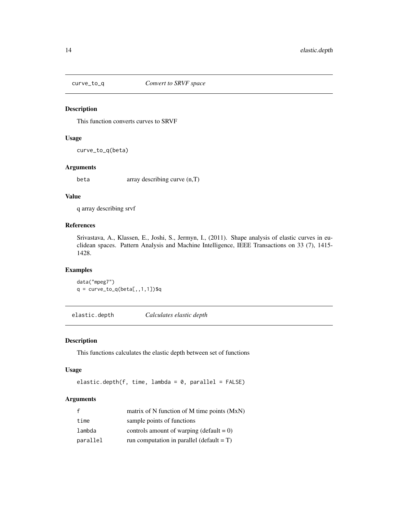<span id="page-13-0"></span>

#### Description

This function converts curves to SRVF

#### Usage

curve\_to\_q(beta)

#### Arguments

beta array describing curve (n,T)

#### Value

q array describing srvf

### References

Srivastava, A., Klassen, E., Joshi, S., Jermyn, I., (2011). Shape analysis of elastic curves in euclidean spaces. Pattern Analysis and Machine Intelligence, IEEE Transactions on 33 (7), 1415- 1428.

### Examples

data("mpeg7")  $q = curve_to_q(beta[,1,1,1])$ \$q

elastic.depth *Calculates elastic depth*

#### Description

This functions calculates the elastic depth between set of functions

#### Usage

```
elastic.depth(f, time, lambda = 0, parallel = FALSE)
```
### Arguments

|          | matrix of N function of M time points (MxN)  |
|----------|----------------------------------------------|
| time     | sample points of functions                   |
| lambda   | controls amount of warping (default = $0$ )  |
| parallel | run computation in parallel (default = $T$ ) |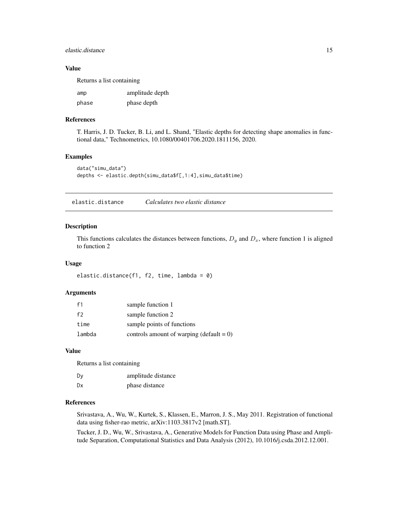#### <span id="page-14-0"></span>elastic.distance 15

### Value

Returns a list containing

| amp   | amplitude depth |
|-------|-----------------|
| phase | phase depth     |

#### References

T. Harris, J. D. Tucker, B. Li, and L. Shand, "Elastic depths for detecting shape anomalies in functional data," Technometrics, 10.1080/00401706.2020.1811156, 2020.

#### Examples

```
data("simu_data")
depths <- elastic.depth(simu_data$f[,1:4],simu_data$time)
```
elastic.distance *Calculates two elastic distance*

#### Description

This functions calculates the distances between functions,  $D_y$  and  $D_x$ , where function 1 is aligned to function 2

#### Usage

elastic.distance(f1, f2, time, lambda = 0)

#### Arguments

| f1     | sample function 1                           |
|--------|---------------------------------------------|
| f2     | sample function 2                           |
| time   | sample points of functions                  |
| lambda | controls amount of warping (default = $0$ ) |

#### Value

Returns a list containing

| Dy | amplitude distance |
|----|--------------------|
| Dx | phase distance     |

#### References

Srivastava, A., Wu, W., Kurtek, S., Klassen, E., Marron, J. S., May 2011. Registration of functional data using fisher-rao metric, arXiv:1103.3817v2 [math.ST].

Tucker, J. D., Wu, W., Srivastava, A., Generative Models for Function Data using Phase and Amplitude Separation, Computational Statistics and Data Analysis (2012), 10.1016/j.csda.2012.12.001.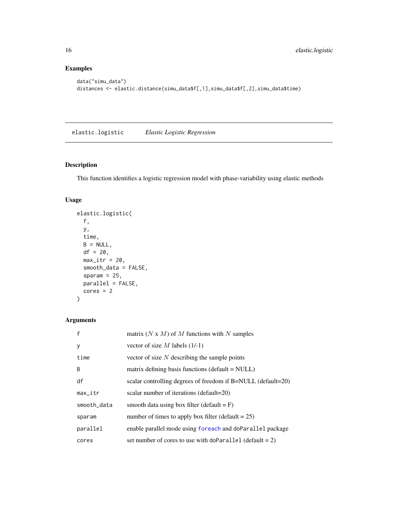### Examples

```
data("simu_data")
distances <- elastic.distance(simu_data$f[,1],simu_data$f[,2],simu_data$time)
```
elastic.logistic *Elastic Logistic Regression*

### Description

This function identifies a logistic regression model with phase-variability using elastic methods

### Usage

```
elastic.logistic(
  f,
 y,
  time,
 B = NULL,df = 20,
 max\_itr = 20,
  smooth_data = FALSE,
  sparam = 25,
 parallel = FALSE,
 cores = 2)
```
### Arguments

| f           | matrix $(N \times M)$ of M functions with N samples          |
|-------------|--------------------------------------------------------------|
| y           | vector of size M labels $(1/-1)$                             |
| time        | vector of size $N$ describing the sample points              |
| B           | matrix defining basis functions (default $=$ NULL)           |
| df          | scalar controlling degrees of freedom if B=NULL (default=20) |
| $max_itr$   | scalar number of iterations (default=20)                     |
| smooth_data | smooth data using box filter (default $=$ F)                 |
| sparam      | number of times to apply box filter (default $= 25$ )        |
| parallel    | enable parallel mode using foreach and doParallel package    |
| cores       | set number of cores to use with doParallel (default = $2$ )  |

<span id="page-15-0"></span>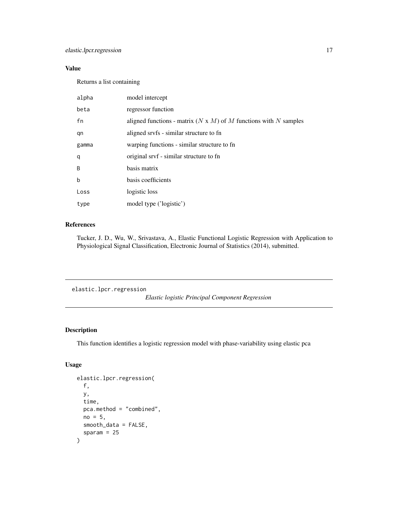### <span id="page-16-0"></span>Value

Returns a list containing

| alpha | model intercept                                                         |
|-------|-------------------------------------------------------------------------|
| beta  | regressor function                                                      |
| fn    | aligned functions - matrix $(N \times M)$ of M functions with N samples |
| qn    | aligned srvfs - similar structure to fn                                 |
| gamma | warping functions - similar structure to fn                             |
| q     | original srvf - similar structure to fn                                 |
| B     | basis matrix                                                            |
| b     | basis coefficients                                                      |
| Loss  | logistic loss                                                           |
| type  | model type ('logistic')                                                 |

### References

Tucker, J. D., Wu, W., Srivastava, A., Elastic Functional Logistic Regression with Application to Physiological Signal Classification, Electronic Journal of Statistics (2014), submitted.

elastic.lpcr.regression

*Elastic logistic Principal Component Regression*

### Description

This function identifies a logistic regression model with phase-variability using elastic pca

### Usage

```
elastic.lpcr.regression(
  f,
 y,
  time,
 pca.method = "combined",
 no = 5,
  smooth_data = FALSE,
  sparam = 25\mathcal{E}
```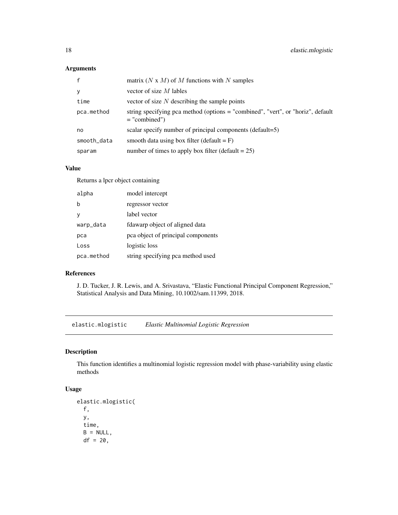### <span id="page-17-0"></span>Arguments

| $\mathbf{f}$ | matrix $(N \times M)$ of M functions with N samples                                                |
|--------------|----------------------------------------------------------------------------------------------------|
| y            | vector of size $M$ lables                                                                          |
| time         | vector of size $N$ describing the sample points                                                    |
| pca.method   | string specifying pca method (options = "combined", "vert", or "horiz", default<br>$=$ "combined") |
| no           | scalar specify number of principal components (default=5)                                          |
| smooth_data  | smooth data using box filter (default $=$ F)                                                       |
| sparam       | number of times to apply box filter (default $= 25$ )                                              |

### Value

Returns a lpcr object containing

| alpha      | model intercept                    |
|------------|------------------------------------|
| b          | regressor vector                   |
| v          | label vector                       |
| warp_data  | fdawarp object of aligned data     |
| pca        | pca object of principal components |
| Loss       | logistic loss                      |
| pca.method | string specifying pca method used  |

### References

J. D. Tucker, J. R. Lewis, and A. Srivastava, "Elastic Functional Principal Component Regression," Statistical Analysis and Data Mining, 10.1002/sam.11399, 2018.

elastic.mlogistic *Elastic Multinomial Logistic Regression*

### Description

This function identifies a multinomial logistic regression model with phase-variability using elastic methods

### Usage

```
elastic.mlogistic(
 f,
 y,
 time,
 B = NULL,df = 20,
```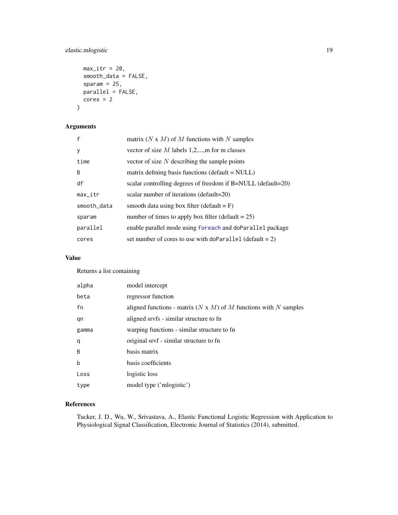### <span id="page-18-0"></span>elastic.mlogistic 19

```
max\_itr = 20,
  smooth_data = FALSE,
  sparam = 25,
 parallel = FALSE,
 cores = 2)
```
### Arguments

| $\mathsf{f}$ | matrix $(N \times M)$ of M functions with N samples          |
|--------------|--------------------------------------------------------------|
| y            | vector of size $M$ labels 1,2,,m for m classes               |
| time         | vector of size $N$ describing the sample points              |
| <sub>B</sub> | matrix defining basis functions (default $=$ NULL)           |
| df           | scalar controlling degrees of freedom if B=NULL (default=20) |
| $max_itr$    | scalar number of iterations (default=20)                     |
| smooth_data  | smooth data using box filter (default $=$ F)                 |
| sparam       | number of times to apply box filter (default $= 25$ )        |
| parallel     | enable parallel mode using foreach and doParallel package    |
| cores        | set number of cores to use with doParallel (default = 2)     |

### Value

Returns a list containing

| alpha        | model intercept                                                         |
|--------------|-------------------------------------------------------------------------|
| beta         | regressor function                                                      |
| fn           | aligned functions - matrix $(N \times M)$ of M functions with N samples |
| qn           | aligned srvfs - similar structure to fn                                 |
| gamma        | warping functions - similar structure to fn                             |
| q            | original srvf - similar structure to fn                                 |
| <sub>B</sub> | basis matrix                                                            |
| $\mathbf b$  | basis coefficients                                                      |
| Loss         | logistic loss                                                           |
| type         | model type ('mlogistic')                                                |

### References

Tucker, J. D., Wu, W., Srivastava, A., Elastic Functional Logistic Regression with Application to Physiological Signal Classification, Electronic Journal of Statistics (2014), submitted.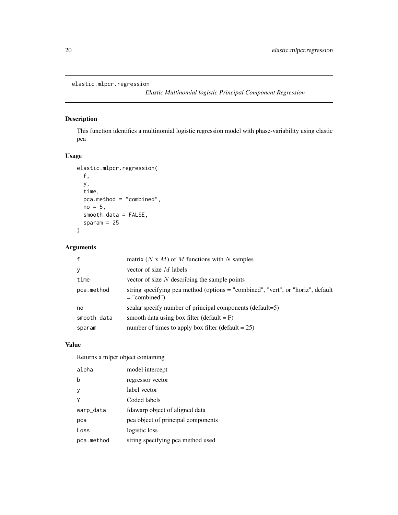### <span id="page-19-0"></span>elastic.mlpcr.regression

*Elastic Multinomial logistic Principal Component Regression*

### Description

This function identifies a multinomial logistic regression model with phase-variability using elastic pca

### Usage

```
elastic.mlpcr.regression(
  f,
 y,
  time,
 pca.method = "combined",
 no = 5,
  smooth_data = FALSE,
  sparam = 25)
```
### Arguments

| $\mathsf{f}$ | matrix (N x M) of M functions with N samples                                                       |
|--------------|----------------------------------------------------------------------------------------------------|
| y            | vector of size $M$ labels                                                                          |
| time         | vector of size $N$ describing the sample points                                                    |
| pca.method   | string specifying pca method (options = "combined", "vert", or "horiz", default<br>$=$ "combined") |
| no           | scalar specify number of principal components (default=5)                                          |
| smooth_data  | smooth data using box filter (default $=$ F)                                                       |
| sparam       | number of times to apply box filter (default $= 25$ )                                              |

### Value

Returns a mlpcr object containing

| alpha      | model intercept                    |
|------------|------------------------------------|
| b          | regressor vector                   |
| ٧          | label vector                       |
|            | Coded labels                       |
| warp_data  | fdawarp object of aligned data     |
| рса        | pca object of principal components |
| Loss       | logistic loss                      |
| pca.method | string specifying pca method used  |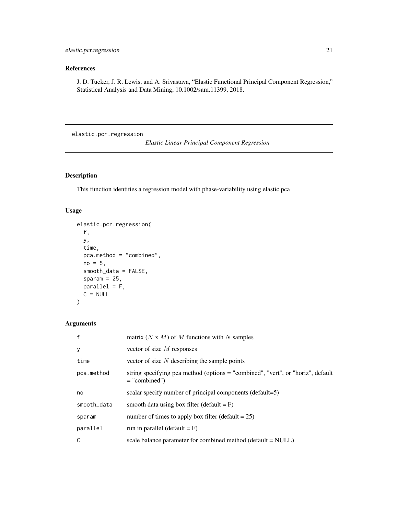### <span id="page-20-0"></span>References

J. D. Tucker, J. R. Lewis, and A. Srivastava, "Elastic Functional Principal Component Regression," Statistical Analysis and Data Mining, 10.1002/sam.11399, 2018.

elastic.pcr.regression

*Elastic Linear Principal Component Regression*

### Description

This function identifies a regression model with phase-variability using elastic pca

### Usage

```
elastic.pcr.regression(
  f,
 y,
  time,
 pca.method = "combined",
 no = 5,
  smooth_data = FALSE,
  sparam = 25,
 parallel = F,
 C = NULL)
```
### Arguments

| $\mathsf{f}$ | matrix $(N \times M)$ of M functions with N samples                                                |
|--------------|----------------------------------------------------------------------------------------------------|
| y            | vector of size $M$ responses                                                                       |
| time         | vector of size $N$ describing the sample points                                                    |
| pca.method   | string specifying pca method (options = "combined", "vert", or "horiz", default<br>$=$ "combined") |
| no           | scalar specify number of principal components (default=5)                                          |
| smooth_data  | smooth data using box filter (default $=$ F)                                                       |
| sparam       | number of times to apply box filter (default $= 25$ )                                              |
| parallel     | run in parallel (default = $F$ )                                                                   |
| C            | scale balance parameter for combined method (default = NULL)                                       |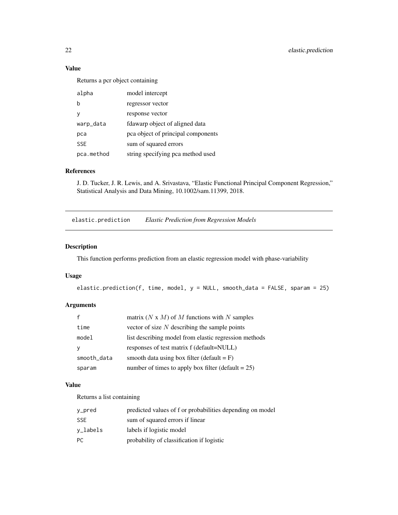### Value

Returns a pcr object containing

| alpha      | model intercept                    |
|------------|------------------------------------|
| b          | regressor vector                   |
| ٧          | response vector                    |
| warp_data  | fdawarp object of aligned data     |
| pca        | pca object of principal components |
| <b>SSE</b> | sum of squared errors              |
| pca.method | string specifying pca method used  |

### References

J. D. Tucker, J. R. Lewis, and A. Srivastava, "Elastic Functional Principal Component Regression," Statistical Analysis and Data Mining, 10.1002/sam.11399, 2018.

elastic.prediction *Elastic Prediction from Regression Models*

### Description

This function performs prediction from an elastic regression model with phase-variability

### Usage

```
elastic.prediction(f, time, model, y = NULL, smooth_data = FALSE, sparam = 25)
```
### Arguments

|             | matrix $(N \times M)$ of M functions with N samples   |
|-------------|-------------------------------------------------------|
| time        | vector of size $N$ describing the sample points       |
| model       | list describing model from elastic regression methods |
| v           | responses of test matrix f (default=NULL)             |
| smooth_data | smooth data using box filter (default $=$ F)          |
| sparam      | number of times to apply box filter (default $= 25$ ) |

### Value

Returns a list containing

| y_pred                             | predicted values of f or probabilities depending on model |
|------------------------------------|-----------------------------------------------------------|
| <b>SSE</b>                         | sum of squared errors if linear                           |
| $v_{\scriptscriptstyle{-}}$ labels | labels if logistic model                                  |
| <b>PC</b>                          | probability of classification if logistic                 |

<span id="page-21-0"></span>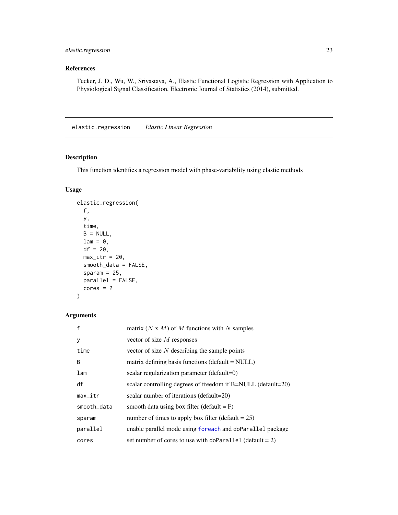### <span id="page-22-0"></span>elastic.regression 23

### References

Tucker, J. D., Wu, W., Srivastava, A., Elastic Functional Logistic Regression with Application to Physiological Signal Classification, Electronic Journal of Statistics (2014), submitted.

elastic.regression *Elastic Linear Regression*

### Description

This function identifies a regression model with phase-variability using elastic methods

### Usage

```
elastic.regression(
  f,
  y,
  time,
 B = NULL,lam = 0,df = 20,max\_itr = 20,
  smooth_data = FALSE,
  sparam = 25,
 parallel = FALSE,
  cores = 2)
```
### Arguments

| $\mathsf{f}$    | matrix (N x M) of M functions with N samples                 |
|-----------------|--------------------------------------------------------------|
| y               | vector of size $M$ responses                                 |
| time            | vector of size $N$ describing the sample points              |
| <sub>B</sub>    | matrix defining basis functions (default $=$ NULL)           |
| 1 <sub>am</sub> | scalar regularization parameter (default=0)                  |
| df              | scalar controlling degrees of freedom if B=NULL (default=20) |
| $max_itr$       | scalar number of iterations (default=20)                     |
| smooth_data     | smooth data using box filter (default = $F$ )                |
| sparam          | number of times to apply box filter (default $= 25$ )        |
| parallel        | enable parallel mode using foreach and doParallel package    |
| cores           | set number of cores to use with doParallel (default = 2)     |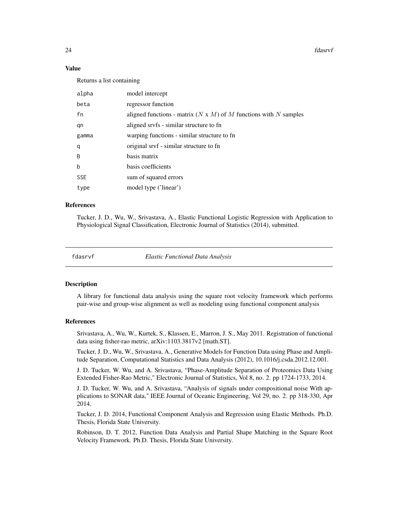24 fdasrvf

#### Value

Returns a list containing

| alpha      | model intercept                                                         |
|------------|-------------------------------------------------------------------------|
| beta       | regressor function                                                      |
| fn         | aligned functions - matrix $(N \times M)$ of M functions with N samples |
| qn         | aligned srvfs - similar structure to fn                                 |
| gamma      | warping functions - similar structure to fn                             |
| q          | original srvf - similar structure to fn                                 |
| B          | basis matrix                                                            |
| b          | basis coefficients                                                      |
| <b>SSE</b> | sum of squared errors                                                   |
| type       | model type ('linear')                                                   |

#### References

Tucker, J. D., Wu, W., Srivastava, A., Elastic Functional Logistic Regression with Application to Physiological Signal Classification, Electronic Journal of Statistics (2014), submitted.

fdasrvf *Elastic Functional Data Analysis*

#### Description

A library for functional data analysis using the square root velocity framework which performs pair-wise and group-wise alignment as well as modeling using functional component analysis

### References

Srivastava, A., Wu, W., Kurtek, S., Klassen, E., Marron, J. S., May 2011. Registration of functional data using fisher-rao metric, arXiv:1103.3817v2 [math.ST].

Tucker, J. D., Wu, W., Srivastava, A., Generative Models for Function Data using Phase and Amplitude Separation, Computational Statistics and Data Analysis (2012), 10.1016/j.csda.2012.12.001.

J. D. Tucker, W. Wu, and A. Srivastava, "Phase-Amplitude Separation of Proteomics Data Using Extended Fisher-Rao Metric," Electronic Journal of Statistics, Vol 8, no. 2. pp 1724-1733, 2014.

J. D. Tucker, W. Wu, and A. Srivastava, "Analysis of signals under compositional noise With applications to SONAR data," IEEE Journal of Oceanic Engineering, Vol 29, no. 2. pp 318-330, Apr 2014.

Tucker, J. D. 2014, Functional Component Analysis and Regression using Elastic Methods. Ph.D. Thesis, Florida State University.

Robinson, D. T. 2012, Function Data Analysis and Partial Shape Matching in the Square Root Velocity Framework. Ph.D. Thesis, Florida State University.

<span id="page-23-0"></span>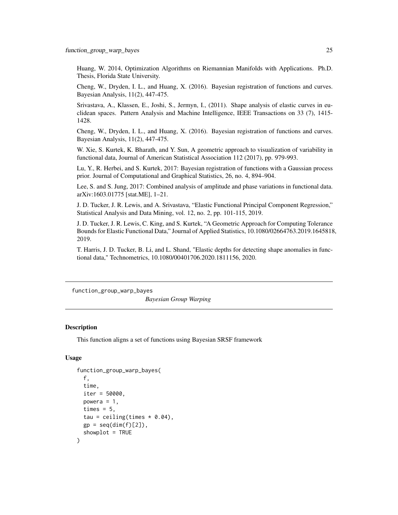<span id="page-24-0"></span>Huang, W. 2014, Optimization Algorithms on Riemannian Manifolds with Applications. Ph.D. Thesis, Florida State University.

Cheng, W., Dryden, I. L., and Huang, X. (2016). Bayesian registration of functions and curves. Bayesian Analysis, 11(2), 447-475.

Srivastava, A., Klassen, E., Joshi, S., Jermyn, I., (2011). Shape analysis of elastic curves in euclidean spaces. Pattern Analysis and Machine Intelligence, IEEE Transactions on 33 (7), 1415- 1428.

Cheng, W., Dryden, I. L., and Huang, X. (2016). Bayesian registration of functions and curves. Bayesian Analysis, 11(2), 447-475.

W. Xie, S. Kurtek, K. Bharath, and Y. Sun, A geometric approach to visualization of variability in functional data, Journal of American Statistical Association 112 (2017), pp. 979-993.

Lu, Y., R. Herbei, and S. Kurtek, 2017: Bayesian registration of functions with a Gaussian process prior. Journal of Computational and Graphical Statistics, 26, no. 4, 894–904.

Lee, S. and S. Jung, 2017: Combined analysis of amplitude and phase variations in functional data. arXiv:1603.01775 [stat.ME], 1–21.

J. D. Tucker, J. R. Lewis, and A. Srivastava, "Elastic Functional Principal Component Regression," Statistical Analysis and Data Mining, vol. 12, no. 2, pp. 101-115, 2019.

J. D. Tucker, J. R. Lewis, C. King, and S. Kurtek, "A Geometric Approach for Computing Tolerance Bounds for Elastic Functional Data," Journal of Applied Statistics, 10.1080/02664763.2019.1645818, 2019.

T. Harris, J. D. Tucker, B. Li, and L. Shand, "Elastic depths for detecting shape anomalies in functional data," Technometrics, 10.1080/00401706.2020.1811156, 2020.

function\_group\_warp\_bayes

*Bayesian Group Warping*

#### **Description**

This function aligns a set of functions using Bayesian SRSF framework

### Usage

```
function_group_warp_bayes(
  f,
  time,
  iter = 50000,
 powera = 1,
 times = 5,
  tau = ceiling(times * 0.04),
 gp = seq(dim(f)[2]),showplot = TRUE)
```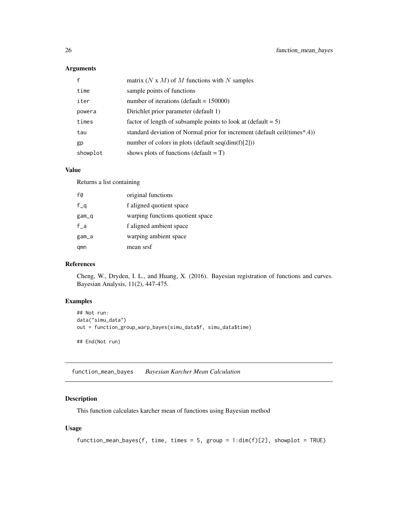### <span id="page-25-0"></span>Arguments

|          | matrix $(N \times M)$ of M functions with N samples                       |
|----------|---------------------------------------------------------------------------|
| time     | sample points of functions                                                |
| iter     | number of iterations (default = $150000$ )                                |
| powera   | Dirichlet prior parameter (default 1)                                     |
| times    | factor of length of subsample points to look at $(\text{default} = 5)$    |
| tau      | standard deviation of Normal prior for increment (default ceil(times*.4)) |
| gp       | number of colors in plots (default seq(dim(f)[2]))                        |
| showplot | shows plots of functions (default $= T$ )                                 |

#### Value

Returns a list containing

| f0      | original functions               |
|---------|----------------------------------|
| $f_q$   | f aligned quotient space         |
| $gam_q$ | warping functions quotient space |
| $f_a$   | f aligned ambient space          |
| gam_a   | warping ambient space            |
| qmn     | mean srsf                        |

### References

Cheng, W., Dryden, I. L., and Huang, X. (2016). Bayesian registration of functions and curves. Bayesian Analysis, 11(2), 447-475.

### Examples

```
## Not run:
data("simu_data")
out = function_group_warp_bayes(simu_data$f, simu_data$time)
## End(Not run)
```
function\_mean\_bayes *Bayesian Karcher Mean Calculation*

### Description

This function calculates karcher mean of functions using Bayesian method

### Usage

```
function_mean_bayes(f, time, times = 5, group = 1:dim(f)[2], showplot = TRUE)
```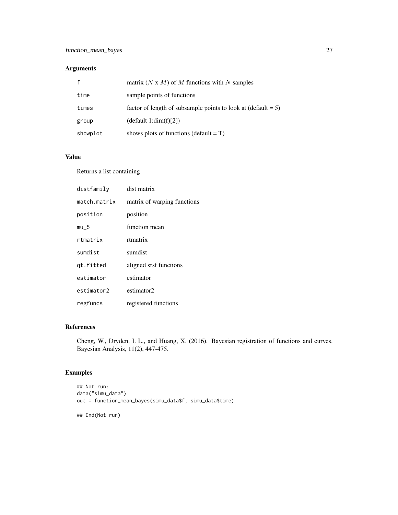### Arguments

|          | matrix (N x M) of M functions with N samples                           |
|----------|------------------------------------------------------------------------|
| time     | sample points of functions                                             |
| times    | factor of length of subsample points to look at $(\text{default} = 5)$ |
| group    | $(\text{default } 1:\text{dim}(f)[2])$                                 |
| showplot | shows plots of functions (default $= T$ )                              |

#### Value

Returns a list containing

| distfamily   | dist matrix                 |
|--------------|-----------------------------|
| match.matrix | matrix of warping functions |
| position     | position                    |
| $mu_5$       | function mean               |
| rtmatrix     | rtmatrix                    |
| sumdist      | sumdist                     |
| qt.fitted    | aligned srsf functions      |
| estimator    | estimator                   |
| estimator2   | estimator2                  |
| regfuncs     | registered functions        |

## References

Cheng, W., Dryden, I. L., and Huang, X. (2016). Bayesian registration of functions and curves. Bayesian Analysis, 11(2), 447-475.

```
## Not run:
data("simu_data")
out = function_mean_bayes(simu_data$f, simu_data$time)
## End(Not run)
```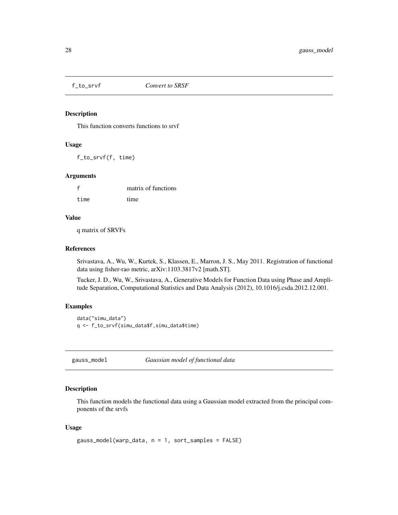<span id="page-27-0"></span>

#### Description

This function converts functions to srvf

#### Usage

f\_to\_srvf(f, time)

#### Arguments

|      | matrix of functions |
|------|---------------------|
| time | time                |

#### Value

q matrix of SRVFs

#### References

Srivastava, A., Wu, W., Kurtek, S., Klassen, E., Marron, J. S., May 2011. Registration of functional data using fisher-rao metric, arXiv:1103.3817v2 [math.ST].

Tucker, J. D., Wu, W., Srivastava, A., Generative Models for Function Data using Phase and Amplitude Separation, Computational Statistics and Data Analysis (2012), 10.1016/j.csda.2012.12.001.

### Examples

```
data("simu_data")
q <- f_to_srvf(simu_data$f,simu_data$time)
```
gauss\_model *Gaussian model of functional data*

### Description

This function models the functional data using a Gaussian model extracted from the principal components of the srvfs

#### Usage

```
gauss_model(warp_data, n = 1, sort_samples = FALSE)
```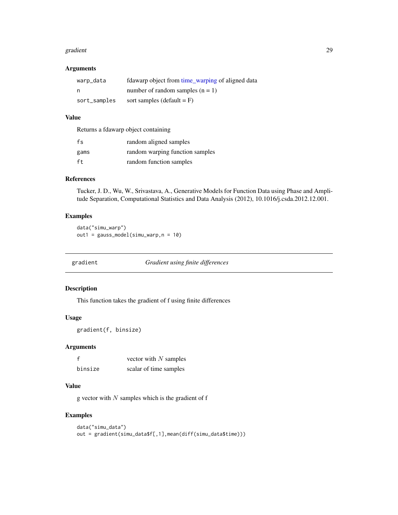#### <span id="page-28-0"></span>gradient 29

#### Arguments

| warp_data    | fdawarp object from time_warping of aligned data |
|--------------|--------------------------------------------------|
| n            | number of random samples $(n = 1)$               |
| sort_samples | sort samples (default $=$ F)                     |

### Value

Returns a fdawarp object containing

| fs   | random aligned samples          |
|------|---------------------------------|
| gams | random warping function samples |
| ft   | random function samples         |

### References

Tucker, J. D., Wu, W., Srivastava, A., Generative Models for Function Data using Phase and Amplitude Separation, Computational Statistics and Data Analysis (2012), 10.1016/j.csda.2012.12.001.

#### Examples

data("simu\_warp") out1 = gauss\_model(simu\_warp,n = 10)

gradient *Gradient using finite differences*

#### Description

This function takes the gradient of f using finite differences

### Usage

gradient(f, binsize)

### Arguments

| f       | vector with $N$ samples |
|---------|-------------------------|
| binsize | scalar of time samples  |

### Value

g vector with  $N$  samples which is the gradient of  $f$ 

### Examples

data("simu\_data") out = gradient(simu\_data\$f[,1],mean(diff(simu\_data\$time)))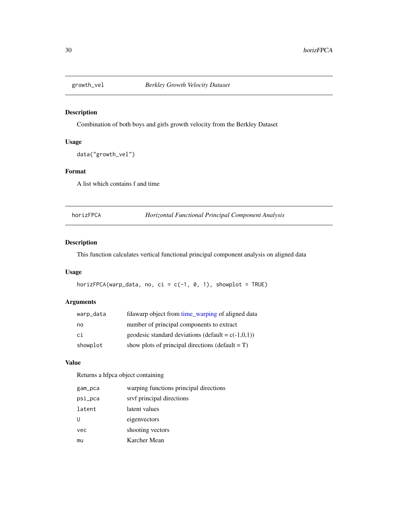<span id="page-29-0"></span>

### Description

Combination of both boys and girls growth velocity from the Berkley Dataset

### Usage

```
data("growth_vel")
```
### Format

A list which contains f and time

horizFPCA *Horizontal Functional Principal Component Analysis*

### Description

This function calculates vertical functional principal component analysis on aligned data

### Usage

horizFPCA(warp\_data, no, ci = c(-1, 0, 1), showplot = TRUE)

### Arguments

| warp_data | fdawarp object from time_warping of aligned data      |
|-----------|-------------------------------------------------------|
| no        | number of principal components to extract             |
| ci        | geodesic standard deviations (default = $c(-1,0,1)$ ) |
| showplot  | show plots of principal directions (default $= T$ )   |

#### Value

Returns a hfpca object containing

| gam_pca | warping functions principal directions |
|---------|----------------------------------------|
| psi_pca | srvf principal directions              |
| latent  | latent values                          |
| U       | eigenvectors                           |
| vec     | shooting vectors                       |
| mu      | Karcher Mean                           |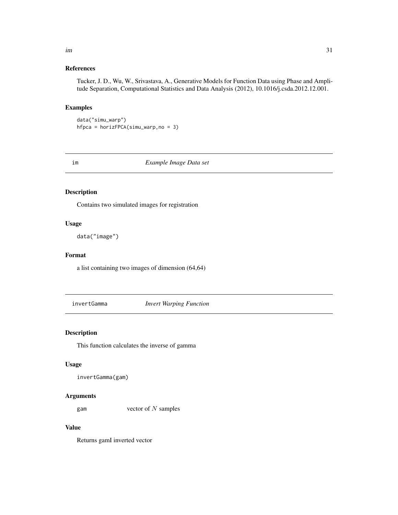### References

Tucker, J. D., Wu, W., Srivastava, A., Generative Models for Function Data using Phase and Amplitude Separation, Computational Statistics and Data Analysis (2012), 10.1016/j.csda.2012.12.001.

### Examples

data("simu\_warp") hfpca = horizFPCA(simu\_warp,no = 3)

im *Example Image Data set*

#### Description

Contains two simulated images for registration

### Usage

data("image")

### Format

a list containing two images of dimension (64,64)

invertGamma *Invert Warping Function*

### Description

This function calculates the inverse of gamma

### Usage

```
invertGamma(gam)
```
#### Arguments

gam vector of  $N$  samples

#### Value

Returns gamI inverted vector

<span id="page-30-0"></span> $\lim$  31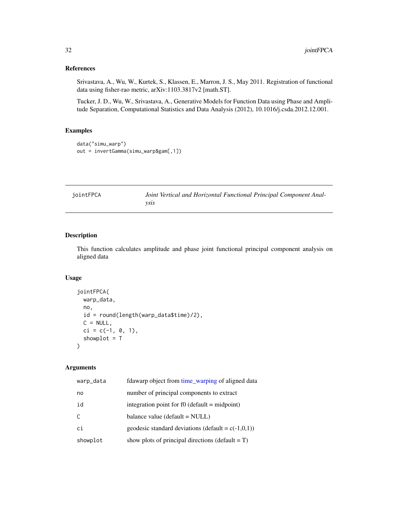### <span id="page-31-0"></span>References

Srivastava, A., Wu, W., Kurtek, S., Klassen, E., Marron, J. S., May 2011. Registration of functional data using fisher-rao metric, arXiv:1103.3817v2 [math.ST].

Tucker, J. D., Wu, W., Srivastava, A., Generative Models for Function Data using Phase and Amplitude Separation, Computational Statistics and Data Analysis (2012), 10.1016/j.csda.2012.12.001.

### Examples

```
data("simu_warp")
out = invertGamma(simu_warp$gam[,1])
```

| jointFPCA | Joint Vertical and Horizontal Functional Principal Component Anal- |
|-----------|--------------------------------------------------------------------|
|           | vsıs                                                               |

### Description

This function calculates amplitude and phase joint functional principal component analysis on aligned data

#### Usage

```
jointFPCA(
 warp_data,
 no,
 id = round(length(warp_data$time)/2),
 C = NULL,ci = c(-1, 0, 1),showplot = T
)
```
#### Arguments

| warp_data | fdawarp object from time_warping of aligned data      |
|-----------|-------------------------------------------------------|
| no        | number of principal components to extract             |
| id        | integration point for $f0$ (default = midpoint)       |
| C         | balance value (default = NULL)                        |
| ci        | geodesic standard deviations (default = $c(-1,0,1)$ ) |
| showplot  | show plots of principal directions (default $= T$ )   |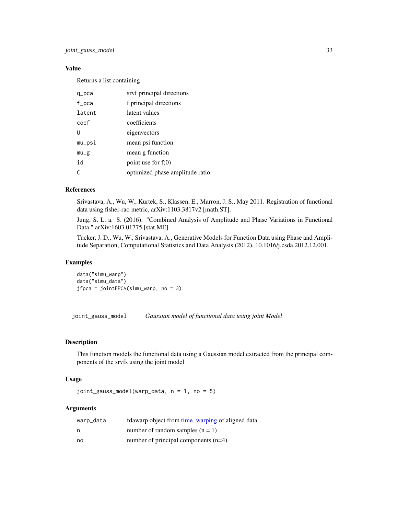### <span id="page-32-0"></span>Value

Returns a list containing

| q_pca  | srvf principal directions       |
|--------|---------------------------------|
| f_pca  | f principal directions          |
| latent | latent values                   |
| coef   | coefficients                    |
| U      | eigenvectors                    |
| mu_psi | mean psi function               |
| $mu_g$ | mean g function                 |
| id     | point use for $f(0)$            |
|        | optimized phase amplitude ratio |

### References

Srivastava, A., Wu, W., Kurtek, S., Klassen, E., Marron, J. S., May 2011. Registration of functional data using fisher-rao metric, arXiv:1103.3817v2 [math.ST].

Jung, S. L. a. S. (2016). "Combined Analysis of Amplitude and Phase Variations in Functional Data." arXiv:1603.01775 [stat.ME].

Tucker, J. D., Wu, W., Srivastava, A., Generative Models for Function Data using Phase and Amplitude Separation, Computational Statistics and Data Analysis (2012), 10.1016/j.csda.2012.12.001.

#### Examples

data("simu\_warp") data("simu\_data") jfpca = jointFPCA(simu\_warp, no = 3)

joint\_gauss\_model *Gaussian model of functional data using joint Model*

#### Description

This function models the functional data using a Gaussian model extracted from the principal components of the srvfs using the joint model

#### Usage

joint\_gauss\_model(warp\_data, n = 1, no = 5)

#### **Arguments**

| warp_data | fdawarp object from time_warping of aligned data |
|-----------|--------------------------------------------------|
| n         | number of random samples $(n = 1)$               |
| no        | number of principal components $(n=4)$           |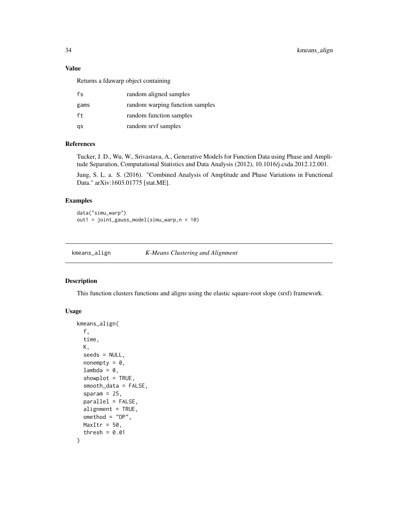### <span id="page-33-0"></span>Value

Returns a fdawarp object containing

| fs   | random aligned samples          |
|------|---------------------------------|
| gams | random warping function samples |
| ft.  | random function samples         |
| gs   | random srvf samples             |

### References

Tucker, J. D., Wu, W., Srivastava, A., Generative Models for Function Data using Phase and Amplitude Separation, Computational Statistics and Data Analysis (2012), 10.1016/j.csda.2012.12.001.

Jung, S. L. a. S. (2016). "Combined Analysis of Amplitude and Phase Variations in Functional Data." arXiv:1603.01775 [stat.ME].

### Examples

data("simu\_warp") out1 = joint\_gauss\_model(simu\_warp,n = 10)

kmeans\_align *K-Means Clustering and Alignment*

### Description

This function clusters functions and aligns using the elastic square-root slope (srsf) framework.

### Usage

```
kmeans_align(
  f,
  time,
 K,
  seeds = NULL,
 nonempty = 0,
  lambda = 0,
  showplot = TRUE,smooth_data = FALSE,
  sparam = 25,
  parallel = FALSE,
  alignment = TRUE,
 omethod = "DP",
 MaxItr = 50,
  thresh = 0.01)
```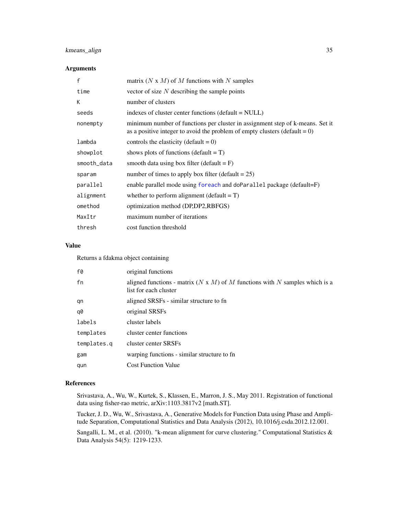### <span id="page-34-0"></span>kmeans\_align 35

### Arguments

| f           | matrix (N x M) of M functions with N samples                                                                                                                   |
|-------------|----------------------------------------------------------------------------------------------------------------------------------------------------------------|
| time        | vector of size $N$ describing the sample points                                                                                                                |
| К           | number of clusters                                                                                                                                             |
| seeds       | indexes of cluster center functions (default = NULL)                                                                                                           |
| nonempty    | minimum number of functions per cluster in assignment step of k-means. Set it<br>as a positive integer to avoid the problem of empty clusters (default = $0$ ) |
| lambda      | controls the elasticity (default = $0$ )                                                                                                                       |
| showplot    | shows plots of functions (default $= T$ )                                                                                                                      |
| smooth_data | smooth data using box filter (default $=$ F)                                                                                                                   |
| sparam      | number of times to apply box filter (default $= 25$ )                                                                                                          |
| parallel    | enable parallel mode using foreach and doParallel package (default=F)                                                                                          |
| alignment   | whether to perform alignment (default $= T$ )                                                                                                                  |
| omethod     | optimization method (DP,DP2,RBFGS)                                                                                                                             |
| MaxItr      | maximum number of iterations                                                                                                                                   |
| thresh      | cost function threshold                                                                                                                                        |

### Value

Returns a fdakma object containing

| f0          | original functions                                                                                            |
|-------------|---------------------------------------------------------------------------------------------------------------|
| fn          | aligned functions - matrix ( $N \times M$ ) of M functions with N samples which is a<br>list for each cluster |
| qn          | aligned SRSFs - similar structure to fn                                                                       |
| q0          | original SRSFs                                                                                                |
| labels      | cluster labels                                                                                                |
| templates   | cluster center functions                                                                                      |
| templates.g | cluster center SRSFs                                                                                          |
| gam         | warping functions - similar structure to fn                                                                   |
| qun         | <b>Cost Function Value</b>                                                                                    |
|             |                                                                                                               |

### References

Srivastava, A., Wu, W., Kurtek, S., Klassen, E., Marron, J. S., May 2011. Registration of functional data using fisher-rao metric, arXiv:1103.3817v2 [math.ST].

Tucker, J. D., Wu, W., Srivastava, A., Generative Models for Function Data using Phase and Amplitude Separation, Computational Statistics and Data Analysis (2012), 10.1016/j.csda.2012.12.001.

Sangalli, L. M., et al. (2010). "k-mean alignment for curve clustering." Computational Statistics & Data Analysis 54(5): 1219-1233.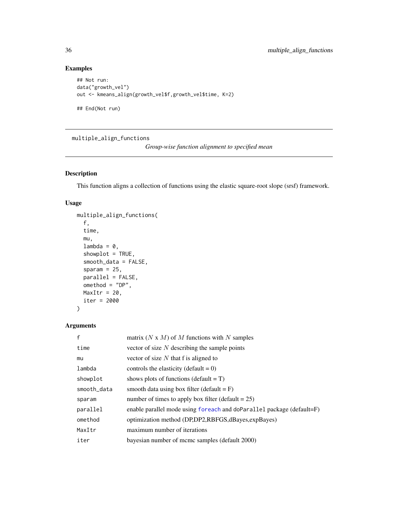### Examples

```
## Not run:
data("growth_vel")
out <- kmeans_align(growth_vel$f,growth_vel$time, K=2)
## End(Not run)
```
multiple\_align\_functions

*Group-wise function alignment to specified mean*

### Description

This function aligns a collection of functions using the elastic square-root slope (srsf) framework.

### Usage

```
multiple_align_functions(
  f,
  time,
 mu,
  lambda = 0,
  showplot = TRUE,
  smooth_data = FALSE,
  sparam = 25,
 parallel = FALSE,
 omethod = "DP",
 MaxItr = 20,
  iter = 2000
\mathcal{L}
```
### Arguments

| $\mathsf{f}$ | matrix (N x M) of M functions with N samples                          |
|--------------|-----------------------------------------------------------------------|
| time         | vector of size $N$ describing the sample points                       |
| mu           | vector of size $N$ that f is aligned to                               |
| lambda       | controls the elasticity (default = $0$ )                              |
| showplot     | shows plots of functions (default $= T$ )                             |
| smooth_data  | smooth data using box filter (default $=$ F)                          |
| sparam       | number of times to apply box filter (default $= 25$ )                 |
| parallel     | enable parallel mode using foreach and doParallel package (default=F) |
| omethod      | optimization method (DP,DP2,RBFGS, dBayes, expBayes)                  |
| MaxItr       | maximum number of iterations                                          |
| iter         | bayesian number of mcmc samples (default 2000)                        |

<span id="page-35-0"></span>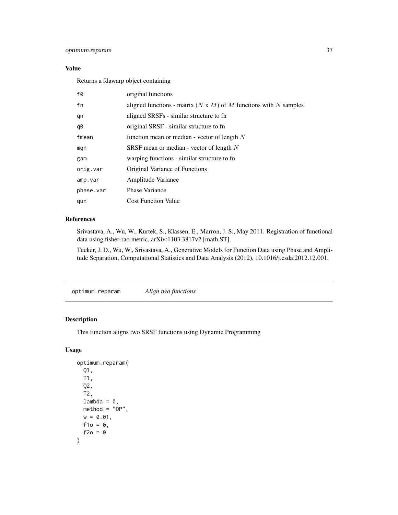### <span id="page-36-0"></span>optimum.reparam 37

### Value

Returns a fdawarp object containing

| f0        | original functions                                                      |
|-----------|-------------------------------------------------------------------------|
| fn        | aligned functions - matrix $(N \times M)$ of M functions with N samples |
| qn        | aligned SRSFs - similar structure to fn                                 |
| q0        | original SRSF - similar structure to fn                                 |
| fmean     | function mean or median - vector of length $N$                          |
| mqn       | SRSF mean or median - vector of length $N$                              |
| gam       | warping functions - similar structure to fn                             |
| orig.var  | Original Variance of Functions                                          |
| amp.var   | Amplitude Variance                                                      |
| phase.var | <b>Phase Variance</b>                                                   |
| qun       | <b>Cost Function Value</b>                                              |

### References

Srivastava, A., Wu, W., Kurtek, S., Klassen, E., Marron, J. S., May 2011. Registration of functional data using fisher-rao metric, arXiv:1103.3817v2 [math.ST].

Tucker, J. D., Wu, W., Srivastava, A., Generative Models for Function Data using Phase and Amplitude Separation, Computational Statistics and Data Analysis (2012), 10.1016/j.csda.2012.12.001.

optimum.reparam *Align two functions*

### Description

This function aligns two SRSF functions using Dynamic Programming

#### Usage

```
optimum.reparam(
  Q1,
  T1,
  Q2,
  T2,
  lambda = 0,
  method = "DP",w = 0.01,
  f1o = 0,
  f2o = 0\mathcal{E}
```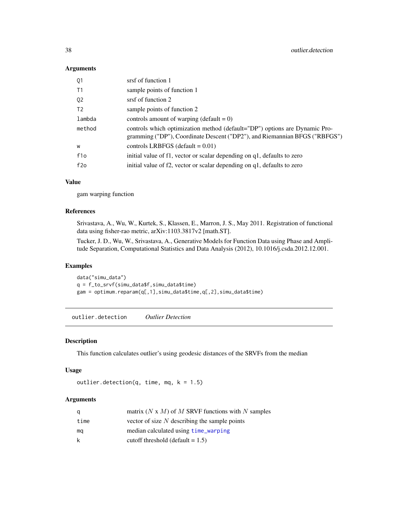#### <span id="page-37-0"></span>Arguments

| srsf of function 1                                                                                                                                       |
|----------------------------------------------------------------------------------------------------------------------------------------------------------|
| sample points of function 1                                                                                                                              |
| srsf of function 2                                                                                                                                       |
| sample points of function 2                                                                                                                              |
| controls amount of warping (default = $0$ )                                                                                                              |
| controls which optimization method (default="DP") options are Dynamic Pro-<br>gramming ("DP"), Coordinate Descent ("DP2"), and Riemannian BFGS ("RBFGS") |
| controls LRBFGS (default $= 0.01$ )                                                                                                                      |
| initial value of f1, vector or scalar depending on q1, defaults to zero                                                                                  |
| initial value of f2, vector or scalar depending on q1, defaults to zero                                                                                  |
|                                                                                                                                                          |

### Value

gam warping function

### References

Srivastava, A., Wu, W., Kurtek, S., Klassen, E., Marron, J. S., May 2011. Registration of functional data using fisher-rao metric, arXiv:1103.3817v2 [math.ST].

Tucker, J. D., Wu, W., Srivastava, A., Generative Models for Function Data using Phase and Amplitude Separation, Computational Statistics and Data Analysis (2012), 10.1016/j.csda.2012.12.001.

#### Examples

data("simu\_data") q = f\_to\_srvf(simu\_data\$f,simu\_data\$time) gam = optimum.reparam(q[,1],simu\_data\$time,q[,2],simu\_data\$time)

outlier.detection *Outlier Detection*

#### Description

This function calculates outlier's using geodesic distances of the SRVFs from the median

#### Usage

```
outlier.detection(q, time, mq, k = 1.5)
```
### Arguments

| q    | matrix $(N \times M)$ of M SRVF functions with N samples |
|------|----------------------------------------------------------|
| time | vector of size $N$ describing the sample points          |
| ma   | median calculated using time_warping                     |
| k    | cutoff threshold (default $= 1.5$ )                      |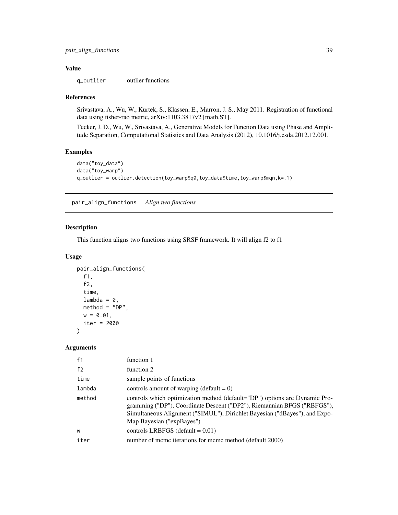### <span id="page-38-0"></span>Value

q\_outlier outlier functions

#### References

Srivastava, A., Wu, W., Kurtek, S., Klassen, E., Marron, J. S., May 2011. Registration of functional data using fisher-rao metric, arXiv:1103.3817v2 [math.ST].

Tucker, J. D., Wu, W., Srivastava, A., Generative Models for Function Data using Phase and Amplitude Separation, Computational Statistics and Data Analysis (2012), 10.1016/j.csda.2012.12.001.

#### Examples

```
data("toy_data")
data("toy_warp")
q_outlier = outlier.detection(toy_warp$q0,toy_data$time,toy_warp$mqn,k=.1)
```
pair\_align\_functions *Align two functions*

### Description

This function aligns two functions using SRSF framework. It will align f2 to f1

#### Usage

```
pair_align_functions(
  f1,
  f2,
  time,
  lambda = 0,
 method = "DP",w = 0.01,
  iter = 2000
)
```
### Arguments

| function 1                                                                                                                                                                                                                                                       |
|------------------------------------------------------------------------------------------------------------------------------------------------------------------------------------------------------------------------------------------------------------------|
| function 2                                                                                                                                                                                                                                                       |
| sample points of functions                                                                                                                                                                                                                                       |
| controls amount of warping (default = $0$ )                                                                                                                                                                                                                      |
| controls which optimization method (default="DP") options are Dynamic Pro-<br>gramming ("DP"), Coordinate Descent ("DP2"), Riemannian BFGS ("RBFGS"),<br>Simultaneous Alignment ("SIMUL"), Dirichlet Bayesian ("dBayes"), and Expo-<br>Map Bayesian ("expBayes") |
| controls LRBFGS (default = $0.01$ )                                                                                                                                                                                                                              |
| number of mcmc iterations for mcmc method (default 2000)                                                                                                                                                                                                         |
|                                                                                                                                                                                                                                                                  |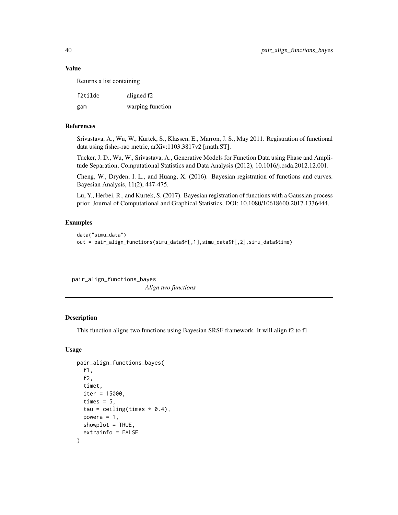#### <span id="page-39-0"></span>Value

Returns a list containing

| f2tilde | aligned f <sub>2</sub> |
|---------|------------------------|
| gam     | warping function       |

### References

Srivastava, A., Wu, W., Kurtek, S., Klassen, E., Marron, J. S., May 2011. Registration of functional data using fisher-rao metric, arXiv:1103.3817v2 [math.ST].

Tucker, J. D., Wu, W., Srivastava, A., Generative Models for Function Data using Phase and Amplitude Separation, Computational Statistics and Data Analysis (2012), 10.1016/j.csda.2012.12.001.

Cheng, W., Dryden, I. L., and Huang, X. (2016). Bayesian registration of functions and curves. Bayesian Analysis, 11(2), 447-475.

Lu, Y., Herbei, R., and Kurtek, S. (2017). Bayesian registration of functions with a Gaussian process prior. Journal of Computational and Graphical Statistics, DOI: 10.1080/10618600.2017.1336444.

#### Examples

```
data("simu_data")
out = pair_align_functions(simu_data$f[,1],simu_data$f[,2],simu_data$time)
```
pair\_align\_functions\_bayes *Align two functions*

#### Description

This function aligns two functions using Bayesian SRSF framework. It will align f2 to f1

#### Usage

```
pair_align_functions_bayes(
  f1,
  f2,
  timet,
  iter = 15000,
  times = 5,
  tau = ceiling(times * 0.4),
  powera = 1,
  showplot = TRUE,
  extrainfo = FALSE
)
```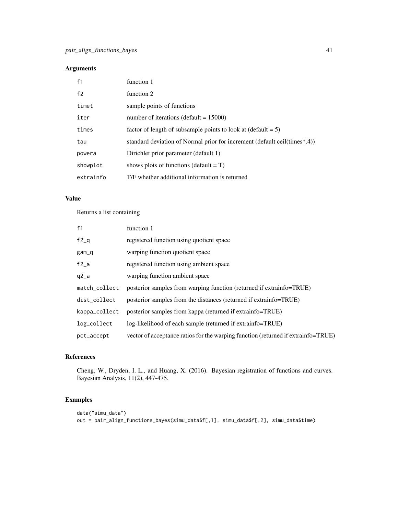### Arguments

| f1        | function 1                                                                |
|-----------|---------------------------------------------------------------------------|
| f2        | function 2                                                                |
| timet     | sample points of functions                                                |
| iter      | number of iterations (default = $15000$ )                                 |
| times     | factor of length of subsample points to look at $(\text{default} = 5)$    |
| tau       | standard deviation of Normal prior for increment (default ceil(times*.4)) |
| powera    | Dirichlet prior parameter (default 1)                                     |
| showplot  | shows plots of functions (default $= T$ )                                 |
| extrainfo | T/F whether additional information is returned                            |

### Value

Returns a list containing

| f1            | function 1                                                                        |
|---------------|-----------------------------------------------------------------------------------|
| $f2_q$        | registered function using quotient space                                          |
| $gam_q$       | warping function quotient space                                                   |
| $f2_a$        | registered function using ambient space                                           |
| $q2_a$        | warping function ambient space                                                    |
| match_collect | posterior samples from warping function (returned if extrainfo=TRUE)              |
| dist_collect  | posterior samples from the distances (returned if extrainfo=TRUE)                 |
| kappa_collect | posterior samples from kappa (returned if extrainfo=TRUE)                         |
| log_collect   | log-likelihood of each sample (returned if extrainfo=TRUE)                        |
| pct_accept    | vector of acceptance ratios for the warping function (returned if extrainfo=TRUE) |

### References

Cheng, W., Dryden, I. L., and Huang, X. (2016). Bayesian registration of functions and curves. Bayesian Analysis, 11(2), 447-475.

```
data("simu_data")
out = pair_align_functions_bayes(simu_data$f[,1], simu_data$f[,2], simu_data$time)
```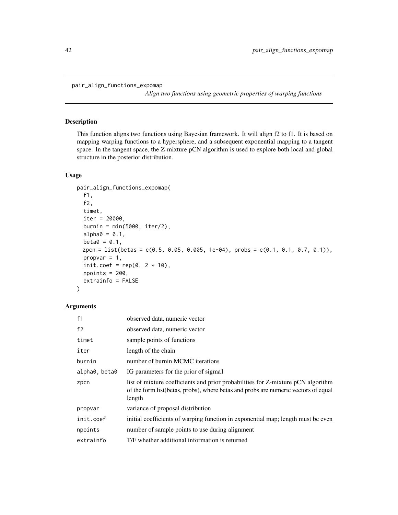*Align two functions using geometric properties of warping functions*

### <span id="page-41-0"></span>Description

This function aligns two functions using Bayesian framework. It will align f2 to f1. It is based on mapping warping functions to a hypersphere, and a subsequent exponential mapping to a tangent space. In the tangent space, the Z-mixture pCN algorithm is used to explore both local and global structure in the posterior distribution.

### Usage

```
pair_align_functions_expomap(
  f1,
  f2,
  timet,
  iter = 20000,
  burnin = min(5000, iter/2),
  alpha0 = 0.1,
 beta = 0.1,
 zpcn = list(betas = c(0.5, 0.05, 0.005, 1e-04), probs = c(0.1, 0.1, 0.7, 0.1)),
 propvar = 1,
  init.coef = rep(0, 2 * 10),
 npoints = 200,extrainfo = FALSE
)
```
#### Arguments

| f <sub>1</sub> | observed data, numeric vector                                                                                                                                                     |
|----------------|-----------------------------------------------------------------------------------------------------------------------------------------------------------------------------------|
| f2             | observed data, numeric vector                                                                                                                                                     |
| timet          | sample points of functions                                                                                                                                                        |
| iter           | length of the chain                                                                                                                                                               |
| burnin         | number of burnin MCMC iterations                                                                                                                                                  |
| alpha0, beta0  | IG parameters for the prior of sigmal                                                                                                                                             |
| zpcn           | list of mixture coefficients and prior probabilities for Z-mixture pCN algorithm<br>of the form list (betas, probs), where betas and probs are numeric vectors of equal<br>length |
| propvar        | variance of proposal distribution                                                                                                                                                 |
| init.coef      | initial coefficients of warping function in exponential map; length must be even                                                                                                  |
| npoints        | number of sample points to use during alignment                                                                                                                                   |
| extrainfo      | T/F whether additional information is returned                                                                                                                                    |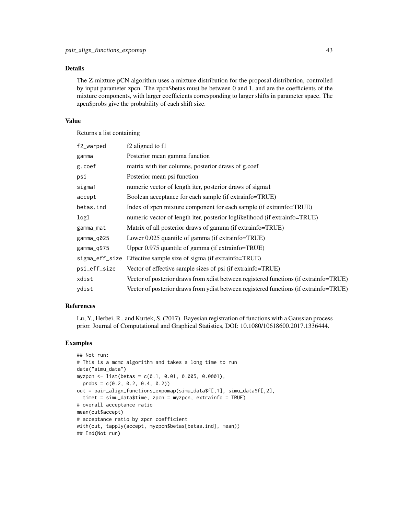### Details

The Z-mixture pCN algorithm uses a mixture distribution for the proposal distribution, controlled by input parameter zpcn. The zpcn\$betas must be between 0 and 1, and are the coefficients of the mixture components, with larger coefficients corresponding to larger shifts in parameter space. The zpcn\$probs give the probability of each shift size.

#### Value

Returns a list containing

| f2_warped      | f <sub>2</sub> aligned to f <sub>1</sub>                                               |
|----------------|----------------------------------------------------------------------------------------|
| gamma          | Posterior mean gamma function                                                          |
| g.coef         | matrix with iter columns, posterior draws of g.coef                                    |
| psi            | Posterior mean psi function                                                            |
| sigma1         | numeric vector of length iter, posterior draws of sigma1                               |
| accept         | Boolean acceptance for each sample (if extrainfo=TRUE)                                 |
| betas.ind      | Index of zpcn mixture component for each sample (if extrainfo=TRUE)                    |
| logl           | numeric vector of length iter, posterior loglikelihood (if extrainfo=TRUE)             |
| gamma_mat      | Matrix of all posterior draws of gamma (if extrainfo=TRUE)                             |
| gamma_q025     | Lower 0.025 quantile of gamma (if extrainfo=TRUE)                                      |
| gamma_q975     | Upper 0.975 quantile of gamma (if extrainfo=TRUE)                                      |
| sigma_eff_size | Effective sample size of sigma (if extrainfo=TRUE)                                     |
| psi_eff_size   | Vector of effective sample sizes of psi (if extrainfo=TRUE)                            |
| xdist          | Vector of posterior draws from x dist between registered functions (if extrainfo=TRUE) |
| vdist          | Vector of posterior draws from y dist between registered functions (if extrainfo=TRUE) |

### References

Lu, Y., Herbei, R., and Kurtek, S. (2017). Bayesian registration of functions with a Gaussian process prior. Journal of Computational and Graphical Statistics, DOI: 10.1080/10618600.2017.1336444.

```
## Not run:
# This is a mcmc algorithm and takes a long time to run
data("simu_data")
myzpcn <- list(betas = c(0.1, 0.01, 0.005, 0.0001),
  probs = c(0.2, 0.2, 0.4, 0.2)out = pair_align_functions_expomap(simu_data$f[,1], simu_data$f[,2],
  timet = simu_data$time, zpcn = myzpcn, extrainfo = TRUE)
# overall acceptance ratio
mean(out$accept)
# acceptance ratio by zpcn coefficient
with(out, tapply(accept, myzpcn$betas[betas.ind], mean))
## End(Not run)
```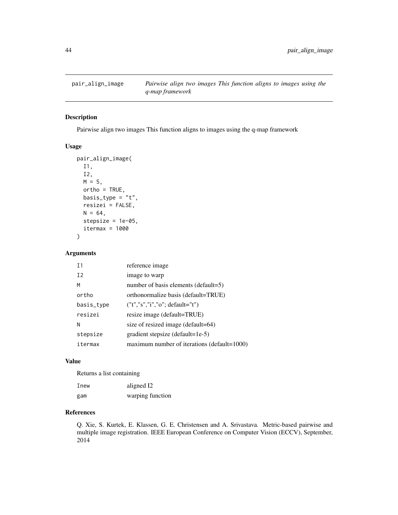<span id="page-43-0"></span>

### Description

Pairwise align two images This function aligns to images using the q-map framework

### Usage

```
pair_align_image(
  I1,
  I2,
 M = 5,
 ortho = TRUE,
 basis_type = "t",resizei = FALSE,
 N = 64,stepsize = 1e-05,
  itermax = 1000
\mathcal{E}
```
### Arguments

| T <sub>1</sub> | reference image                             |
|----------------|---------------------------------------------|
| T <sub>2</sub> | image to warp                               |
| м              | number of basis elements (default=5)        |
| ortho          | orthonormalize basis (default=TRUE)         |
| basis_type     | $("t", "s", "i", "o"; default="t")$         |
| resizei        | resize image (default=TRUE)                 |
| N              | size of resized image (default=64)          |
| stepsize       | gradient stepsize (default=1e-5)            |
| itermax        | maximum number of iterations (default=1000) |

### Value

Returns a list containing

| Inew | aligned I2       |
|------|------------------|
| gam  | warping function |

### References

Q. Xie, S. Kurtek, E. Klassen, G. E. Christensen and A. Srivastava. Metric-based pairwise and multiple image registration. IEEE European Conference on Computer Vision (ECCV), September, 2014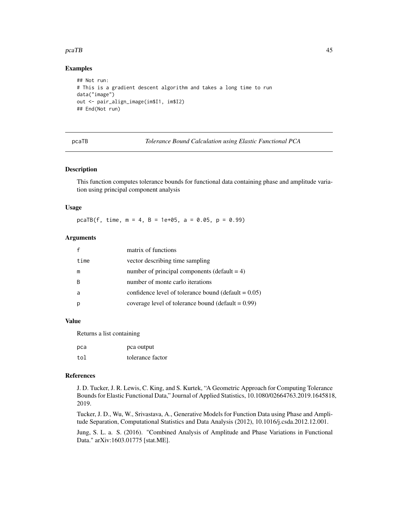#### <span id="page-44-0"></span>pcaTB and the set of the set of the set of the set of the set of the set of the set of the set of the set of the set of the set of the set of the set of the set of the set of the set of the set of the set of the set of the

#### Examples

```
## Not run:
# This is a gradient descent algorithm and takes a long time to run
data("image")
out <- pair_align_image(im$I1, im$I2)
## End(Not run)
```

|--|

**Tolerance Bound Calculation using Elastic Functional PCA** 

#### Description

This function computes tolerance bounds for functional data containing phase and amplitude variation using principal component analysis

#### Usage

pcaTB(f, time,  $m = 4$ ,  $B = 1e+05$ ,  $a = 0.05$ ,  $p = 0.99$ )

#### Arguments

|      | matrix of functions                                           |
|------|---------------------------------------------------------------|
| time | vector describing time sampling                               |
| m    | number of principal components (default $= 4$ )               |
| B    | number of monte carlo iterations                              |
| a    | confidence level of tolerance bound (default $= 0.05$ )       |
|      | coverage level of tolerance bound ( $\text{default} = 0.99$ ) |

#### Value

Returns a list containing

| pca | pca output       |
|-----|------------------|
| tol | tolerance factor |

### References

J. D. Tucker, J. R. Lewis, C. King, and S. Kurtek, "A Geometric Approach for Computing Tolerance Bounds for Elastic Functional Data," Journal of Applied Statistics, 10.1080/02664763.2019.1645818, 2019.

Tucker, J. D., Wu, W., Srivastava, A., Generative Models for Function Data using Phase and Amplitude Separation, Computational Statistics and Data Analysis (2012), 10.1016/j.csda.2012.12.001.

Jung, S. L. a. S. (2016). "Combined Analysis of Amplitude and Phase Variations in Functional Data." arXiv:1603.01775 [stat.ME].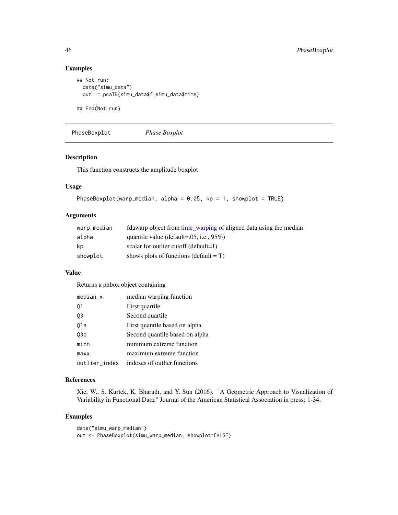### Examples

```
## Not run:
 data("simu_data")
 out1 = pcaTB(simu_data$f,simu_data$time)
```
## End(Not run)

PhaseBoxplot *Phase Boxplot*

### Description

This function constructs the amplitude boxplot

### Usage

```
PhaseBoxplot(warp_median, alpha = 0.05, kp = 1, showplot = TRUE)
```
### Arguments

| warp_median | fdawarp object from time_warping of aligned data using the median |
|-------------|-------------------------------------------------------------------|
| alpha       | quantile value (default= $.05$ , i.e., $95\%$ )                   |
| kp          | scalar for outlier cutoff (default=1)                             |
| showplot    | shows plots of functions (default $= T$ )                         |

### Value

Returns a phbox object containing

| $median_x$    | median warping function        |
|---------------|--------------------------------|
| 01            | First quartile                 |
| 03            | Second quartile                |
| 01a           | First quantile based on alpha  |
| 03a           | Second quantile based on alpha |
| minn          | minimum extreme function       |
| maxx          | maximum extreme function       |
| outlier_index | indexes of outlier functions   |

### References

Xie, W., S. Kurtek, K. Bharath, and Y. Sun (2016). "A Geometric Approach to Visualization of Variability in Functional Data." Journal of the American Statistical Association in press: 1-34.

```
data("simu_warp_median")
out <- PhaseBoxplot(simu_warp_median, showplot=FALSE)
```
<span id="page-45-0"></span>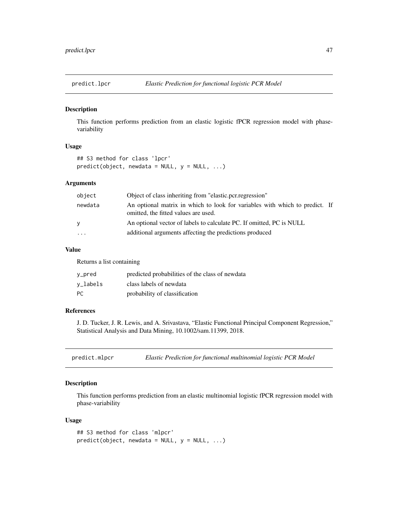<span id="page-46-0"></span>

#### Description

This function performs prediction from an elastic logistic fPCR regression model with phasevariability

### Usage

```
## S3 method for class 'lpcr'
predict(object, newdata = NULL, y = NULL, ...)
```
### Arguments

| object  | Object of class inheriting from "elastic.pcr.regression"                                                            |
|---------|---------------------------------------------------------------------------------------------------------------------|
| newdata | An optional matrix in which to look for variables with which to predict. If<br>omitted, the fitted values are used. |
| V       | An optional vector of labels to calculate PC. If omitted, PC is NULL                                                |
| $\cdot$ | additional arguments affecting the predictions produced                                                             |

### Value

Returns a list containing

| y_pred   | predicted probabilities of the class of newdata |
|----------|-------------------------------------------------|
| v_labels | class labels of newdata                         |
| РC       | probability of classification                   |

#### References

J. D. Tucker, J. R. Lewis, and A. Srivastava, "Elastic Functional Principal Component Regression," Statistical Analysis and Data Mining, 10.1002/sam.11399, 2018.

predict.mlpcr *Elastic Prediction for functional multinomial logistic PCR Model*

### Description

This function performs prediction from an elastic multinomial logistic fPCR regression model with phase-variability

#### Usage

```
## S3 method for class 'mlpcr'
predict(object, newdata = NULL, y = NULL, ...)
```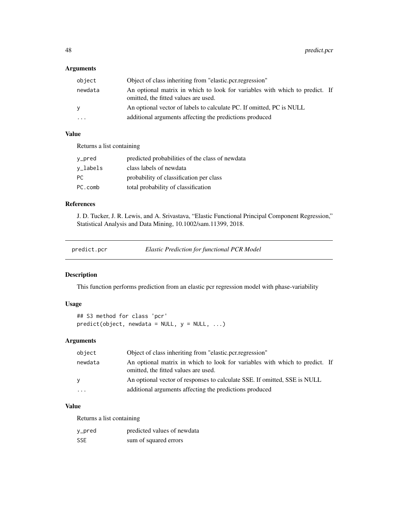### <span id="page-47-0"></span>Arguments

| object   | Object of class inheriting from "elastic.pcr.regression"                                                            |  |
|----------|---------------------------------------------------------------------------------------------------------------------|--|
| newdata  | An optional matrix in which to look for variables with which to predict. If<br>omitted, the fitted values are used. |  |
| <b>V</b> | An optional vector of labels to calculate PC. If omitted, PC is NULL                                                |  |
| $\cdots$ | additional arguments affecting the predictions produced                                                             |  |

### Value

Returns a list containing

| y_pred   | predicted probabilities of the class of newdata |
|----------|-------------------------------------------------|
| v_labels | class labels of newdata                         |
| PC.      | probability of classification per class         |
| PC.comb  | total probability of classification             |

### References

J. D. Tucker, J. R. Lewis, and A. Srivastava, "Elastic Functional Principal Component Regression," Statistical Analysis and Data Mining, 10.1002/sam.11399, 2018.

predict.pcr *Elastic Prediction for functional PCR Model*

### Description

This function performs prediction from an elastic pcr regression model with phase-variability

### Usage

## S3 method for class 'pcr'  $predict(object, newdata = NULL, y = NULL, ...)$ 

#### Arguments

| object   | Object of class inheriting from "elastic.pcr.regression"                                                            |
|----------|---------------------------------------------------------------------------------------------------------------------|
| newdata  | An optional matrix in which to look for variables with which to predict. If<br>omitted, the fitted values are used. |
| v        | An optional vector of responses to calculate SSE. If omitted, SSE is NULL                                           |
| $\ddots$ | additional arguments affecting the predictions produced                                                             |

### Value

Returns a list containing

| y_pred     | predicted values of newdata |
|------------|-----------------------------|
| <b>SSE</b> | sum of squared errors       |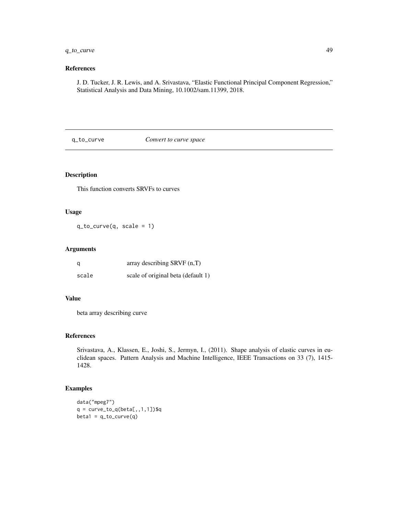### <span id="page-48-0"></span>q\_to\_curve 49

### References

J. D. Tucker, J. R. Lewis, and A. Srivastava, "Elastic Functional Principal Component Regression," Statistical Analysis and Data Mining, 10.1002/sam.11399, 2018.

q\_to\_curve *Convert to curve space*

### Description

This function converts SRVFs to curves

### Usage

 $q_to_curve(q, scale = 1)$ 

#### Arguments

| q     | array describing $SRVF(n,T)$       |
|-------|------------------------------------|
| scale | scale of original beta (default 1) |

#### Value

beta array describing curve

### References

Srivastava, A., Klassen, E., Joshi, S., Jermyn, I., (2011). Shape analysis of elastic curves in euclidean spaces. Pattern Analysis and Machine Intelligence, IEEE Transactions on 33 (7), 1415- 1428.

```
data("mpeg7")
q = curve_to_q(beta[,1,1,1])$q
beta1 = q_to_curve(q)
```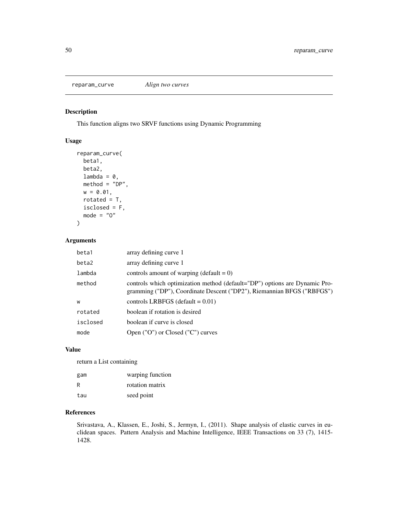<span id="page-49-0"></span>reparam\_curve *Align two curves*

### Description

This function aligns two SRVF functions using Dynamic Programming

### Usage

```
reparam_curve(
 beta1,
 beta2,
 lambda = 0,
 method = "DP",w = 0.01,
 rotated = T,
 isclosed = F,
 mode = "0")
```
### Arguments

| beta1    | array defining curve 1                                                                                                                               |
|----------|------------------------------------------------------------------------------------------------------------------------------------------------------|
| beta2    | array defining curve 1                                                                                                                               |
| lambda   | controls amount of warping (default = $0$ )                                                                                                          |
| method   | controls which optimization method (default="DP") options are Dynamic Pro-<br>gramming ("DP"), Coordinate Descent ("DP2"), Riemannian BFGS ("RBFGS") |
| W        | controls LRBFGS (default = $0.01$ )                                                                                                                  |
| rotated  | boolean if rotation is desired                                                                                                                       |
| isclosed | boolean if curve is closed                                                                                                                           |
| mode     | Open ("O") or Closed ("C") curves                                                                                                                    |

#### Value

return a List containing

| gam | warping function |
|-----|------------------|
| R   | rotation matrix  |
| tau | seed point       |

### References

Srivastava, A., Klassen, E., Joshi, S., Jermyn, I., (2011). Shape analysis of elastic curves in euclidean spaces. Pattern Analysis and Machine Intelligence, IEEE Transactions on 33 (7), 1415- 1428.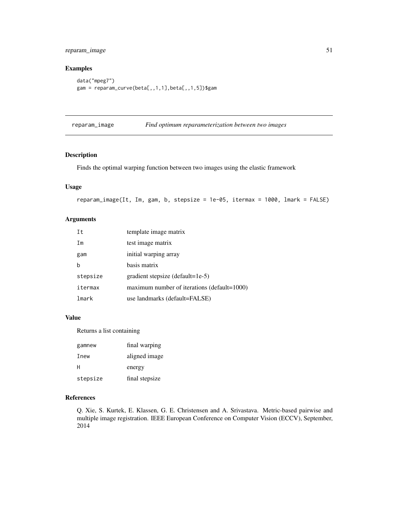### <span id="page-50-0"></span>reparam\_image 51

### Examples

```
data("mpeg7")
gam = reparam_curve(beta[,,1,1],beta[,,1,5])$gam
```
reparam\_image *Find optimum reparameterization between two images*

#### Description

Finds the optimal warping function between two images using the elastic framework

#### Usage

```
reparam_image(It, Im, gam, b, stepsize = 1e-05, itermax = 1000, lmark = FALSE)
```
### Arguments

| Ιt       | template image matrix                       |
|----------|---------------------------------------------|
| Im       | test image matrix                           |
| gam      | initial warping array                       |
| h        | basis matrix                                |
| stepsize | gradient stepsize (default=1e-5)            |
| itermax  | maximum number of iterations (default=1000) |
| lmark    | use landmarks (default=FALSE)               |

### Value

Returns a list containing

| gamnew   | final warping  |
|----------|----------------|
| Inew     | aligned image  |
| н        | energy         |
| stepsize | final stepsize |

### References

Q. Xie, S. Kurtek, E. Klassen, G. E. Christensen and A. Srivastava. Metric-based pairwise and multiple image registration. IEEE European Conference on Computer Vision (ECCV), September, 2014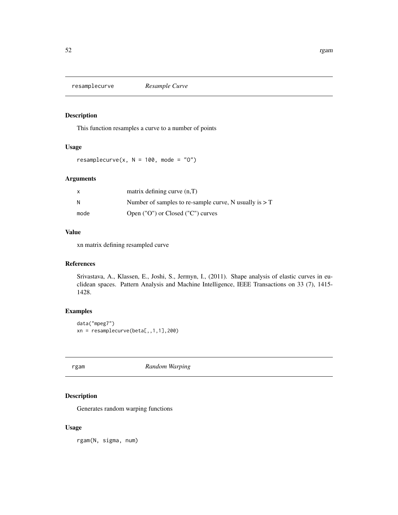<span id="page-51-0"></span>resamplecurve *Resample Curve*

### Description

This function resamples a curve to a number of points

### Usage

resamplecurve(x,  $N = 100$ , mode = "0")

### Arguments

| X    | matrix defining curve $(n,T)$                            |
|------|----------------------------------------------------------|
| N    | Number of samples to re-sample curve, N usually is $> T$ |
| mode | Open ("O") or Closed ("C") curves                        |

### Value

xn matrix defining resampled curve

### References

Srivastava, A., Klassen, E., Joshi, S., Jermyn, I., (2011). Shape analysis of elastic curves in euclidean spaces. Pattern Analysis and Machine Intelligence, IEEE Transactions on 33 (7), 1415- 1428.

### Examples

```
data("mpeg7")
xn = resamplecurve(beta[,1,1,1],200)
```
rgam *Random Warping*

### Description

Generates random warping functions

#### Usage

rgam(N, sigma, num)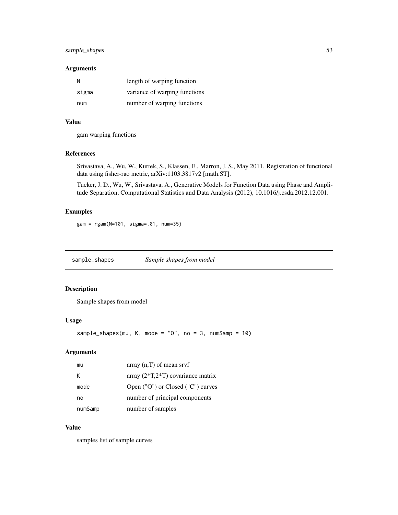### <span id="page-52-0"></span>sample\_shapes 53

#### Arguments

| N     | length of warping function    |
|-------|-------------------------------|
| sigma | variance of warping functions |
| num   | number of warping functions   |

#### Value

gam warping functions

### References

Srivastava, A., Wu, W., Kurtek, S., Klassen, E., Marron, J. S., May 2011. Registration of functional data using fisher-rao metric, arXiv:1103.3817v2 [math.ST].

Tucker, J. D., Wu, W., Srivastava, A., Generative Models for Function Data using Phase and Amplitude Separation, Computational Statistics and Data Analysis (2012), 10.1016/j.csda.2012.12.001.

### Examples

```
gam = rgam(N=101, sigma=.01, num=35)
```
sample\_shapes *Sample shapes from model*

### Description

Sample shapes from model

#### Usage

```
sample_shapes(mu, K, mode = "0", no = 3, numSamp = 10)
```
### Arguments

| mu      | $array(n,T)$ of mean srvf           |
|---------|-------------------------------------|
| K       | array $(2*T,2*T)$ covariance matrix |
| mode    | Open ("O") or Closed ("C") curves   |
| no      | number of principal components      |
| numSamp | number of samples                   |

#### Value

samples list of sample curves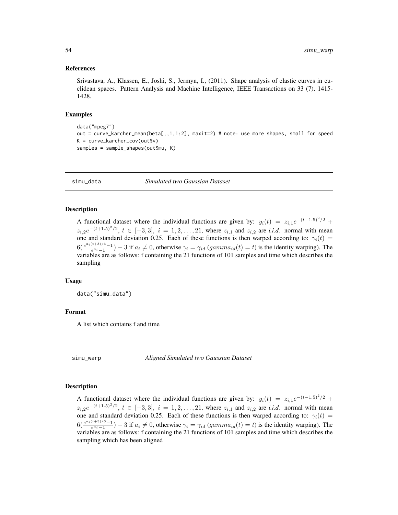#### <span id="page-53-0"></span>References

Srivastava, A., Klassen, E., Joshi, S., Jermyn, I., (2011). Shape analysis of elastic curves in euclidean spaces. Pattern Analysis and Machine Intelligence, IEEE Transactions on 33 (7), 1415- 1428.

#### Examples

```
data("mpeg7")
out = curve_karcher_mean(beta[,,1,1:2], maxit=2) # note: use more shapes, small for speed
K = curve_karcher_cov(outsv)samples = sample_shapes(out$mu, K)
```
simu\_data *Simulated two Gaussian Dataset*

#### **Description**

A functional dataset where the individual functions are given by:  $y_i(t) = z_{i,1}e^{-(t-1.5)^2/2} +$  $z_{i,2}e^{-(t+1.5)^2/2}$ ,  $t \in [-3,3]$ ,  $i = 1,2,\ldots,21$ , where  $z_{i,1}$  and  $z_{i,2}$  are *i.i.d.* normal with mean one and standard deviation 0.25. Each of these functions is then warped according to:  $\gamma_i(t)$  =  $6(\frac{e^{a_i(t+3)/6}-1}{e^{a_i}-1})-3$  if  $a_i \neq 0$ , otherwise  $\gamma_i = \gamma_{id}$  (gamm $a_{id}(t) = t$ ) is the identity warping). The variables are as follows: f containing the 21 functions of 101 samples and time which describes the sampling

#### Usage

data("simu\_data")

#### Format

A list which contains f and time

simu\_warp *Aligned Simulated two Gaussian Dataset*

#### Description

A functional dataset where the individual functions are given by:  $y_i(t) = z_{i,1}e^{-(t-1.5)^2/2} +$  $z_{i,2}e^{-(t+1.5)^2/2}$ ,  $t \in [-3,3]$ ,  $i = 1,2,\ldots,21$ , where  $z_{i,1}$  and  $z_{i,2}$  are *i.i.d.* normal with mean one and standard deviation 0.25. Each of these functions is then warped according to:  $\gamma_i(t)$  =  $6(\frac{e^{a_i(t+3)/6}-1}{e^{a_i}-1})-3$  if  $a_i \neq 0$ , otherwise  $\gamma_i = \gamma_{id}$  (gamm $a_{id}(t) = t$ ) is the identity warping). The variables are as follows: f containing the 21 functions of 101 samples and time which describes the sampling which has been aligned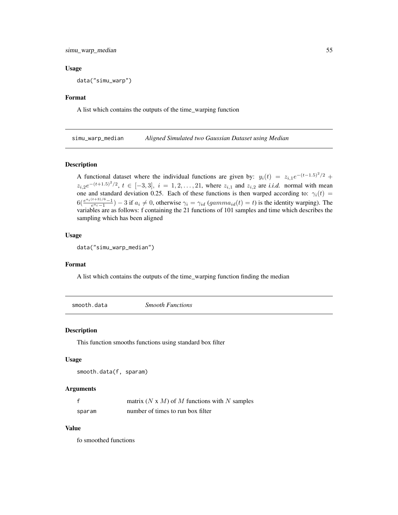<span id="page-54-0"></span>simu\_warp\_median 55

#### Usage

data("simu\_warp")

#### Format

A list which contains the outputs of the time\_warping function

simu\_warp\_median *Aligned Simulated two Gaussian Dataset using Median*

#### Description

A functional dataset where the individual functions are given by:  $y_i(t) = z_{i,1}e^{-(t-1.5)^2/2} +$  $z_{i,2}e^{-(t+1.5)^2/2}$ ,  $t \in [-3,3]$ ,  $i = 1,2,\ldots,21$ , where  $z_{i,1}$  and  $z_{i,2}$  are *i.i.d.* normal with mean one and standard deviation 0.25. Each of these functions is then warped according to:  $\gamma_i(t)$  =  $6(\frac{e^{a_i(t+3)/6}-1}{e^{a_i}-1})-3$  if  $a_i \neq 0$ , otherwise  $\gamma_i = \gamma_{id}$  (gamm $a_{id}(t) = t$ ) is the identity warping). The variables are as follows: f containing the 21 functions of 101 samples and time which describes the sampling which has been aligned

### Usage

data("simu\_warp\_median")

#### Format

A list which contains the outputs of the time\_warping function finding the median

smooth.data *Smooth Functions*

#### Description

This function smooths functions using standard box filter

#### Usage

```
smooth.data(f, sparam)
```
#### Arguments

|        | matrix $(N \times M)$ of M functions with N samples |
|--------|-----------------------------------------------------|
| sparam | number of times to run box filter                   |

#### Value

fo smoothed functions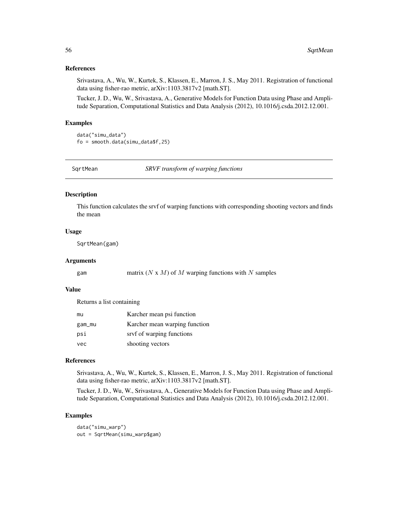#### <span id="page-55-0"></span>References

Srivastava, A., Wu, W., Kurtek, S., Klassen, E., Marron, J. S., May 2011. Registration of functional data using fisher-rao metric, arXiv:1103.3817v2 [math.ST].

Tucker, J. D., Wu, W., Srivastava, A., Generative Models for Function Data using Phase and Amplitude Separation, Computational Statistics and Data Analysis (2012), 10.1016/j.csda.2012.12.001.

#### Examples

```
data("simu_data")
fo = smooth.data(simu_data$f,25)
```
SqrtMean *SRVF transform of warping functions*

#### Description

This function calculates the srvf of warping functions with corresponding shooting vectors and finds the mean

#### Usage

SqrtMean(gam)

#### Arguments

gam matrix  $(N \times M)$  of M warping functions with N samples

### Value

Returns a list containing

| mu     | Karcher mean psi function     |
|--------|-------------------------------|
| gam_mu | Karcher mean warping function |
| psi    | srvf of warping functions     |
| vec    | shooting vectors              |

### References

Srivastava, A., Wu, W., Kurtek, S., Klassen, E., Marron, J. S., May 2011. Registration of functional data using fisher-rao metric, arXiv:1103.3817v2 [math.ST].

Tucker, J. D., Wu, W., Srivastava, A., Generative Models for Function Data using Phase and Amplitude Separation, Computational Statistics and Data Analysis (2012), 10.1016/j.csda.2012.12.001.

#### Examples

data("simu\_warp") out = SqrtMean(simu\_warp\$gam)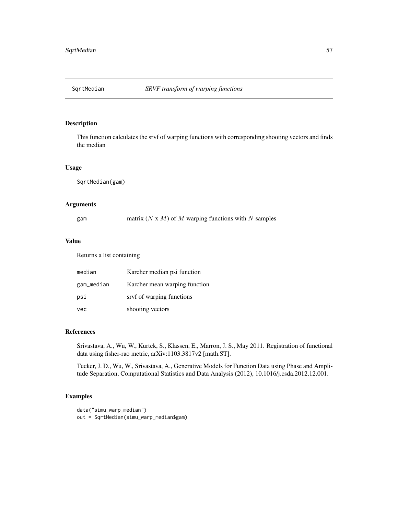<span id="page-56-0"></span>

### Description

This function calculates the srvf of warping functions with corresponding shooting vectors and finds the median

#### Usage

SqrtMedian(gam)

### Arguments

| gam | matrix $(N \times M)$ of M warping functions with N samples |  |  |
|-----|-------------------------------------------------------------|--|--|
|     |                                                             |  |  |

#### Value

Returns a list containing

| median     | Karcher median psi function   |
|------------|-------------------------------|
| gam_median | Karcher mean warping function |
| psi        | srvf of warping functions     |
| vec        | shooting vectors              |

### References

Srivastava, A., Wu, W., Kurtek, S., Klassen, E., Marron, J. S., May 2011. Registration of functional data using fisher-rao metric, arXiv:1103.3817v2 [math.ST].

Tucker, J. D., Wu, W., Srivastava, A., Generative Models for Function Data using Phase and Amplitude Separation, Computational Statistics and Data Analysis (2012), 10.1016/j.csda.2012.12.001.

```
data("simu_warp_median")
out = SqrtMedian(simu_warp_median$gam)
```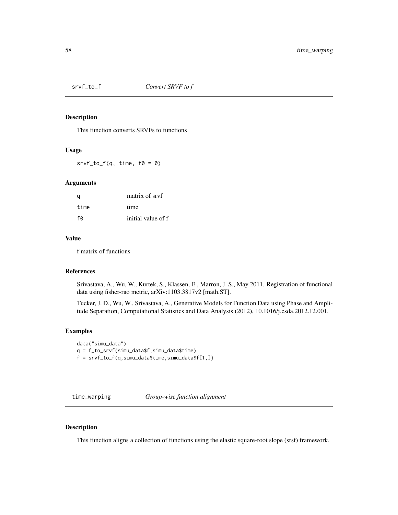<span id="page-57-0"></span>

### Description

This function converts SRVFs to functions

#### Usage

 $srvf_to_f(q, time, f0 = 0)$ 

### Arguments

| a    | matrix of sryf     |
|------|--------------------|
| time | time               |
| fa   | initial value of f |

#### Value

f matrix of functions

#### References

Srivastava, A., Wu, W., Kurtek, S., Klassen, E., Marron, J. S., May 2011. Registration of functional data using fisher-rao metric, arXiv:1103.3817v2 [math.ST].

Tucker, J. D., Wu, W., Srivastava, A., Generative Models for Function Data using Phase and Amplitude Separation, Computational Statistics and Data Analysis (2012), 10.1016/j.csda.2012.12.001.

#### Examples

```
data("simu_data")
q = f_to_srvf(simu_data$f,simu_data$time)
f = srvf_to_f(q,simu_data$time,simu_data$f[1,])
```
<span id="page-57-1"></span>time\_warping *Group-wise function alignment*

#### Description

This function aligns a collection of functions using the elastic square-root slope (srsf) framework.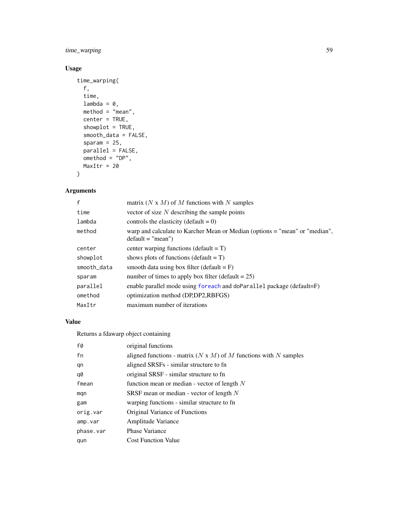<span id="page-58-0"></span>time\_warping 59

### Usage

```
time_warping(
 f,
  time,
 lambda = 0,
 method = "mean",
 center = TRUE,
  showplot = TRUE,
  smooth_data = FALSE,
 sparam = 25,
 parallel = FALSE,
 omethod = "DP",
 MaxItr = 20
\mathcal{L}
```
### Arguments

| f           | matrix $(N \times M)$ of M functions with N samples                                                |
|-------------|----------------------------------------------------------------------------------------------------|
| time        | vector of size $N$ describing the sample points                                                    |
| lambda      | controls the elasticity (default = $0$ )                                                           |
| method      | warp and calculate to Karcher Mean or Median (options = "mean" or "median",<br>$default = "mean")$ |
| center      | center warping functions (default $= T$ )                                                          |
| showplot    | shows plots of functions (default $= T$ )                                                          |
| smooth_data | smooth data using box filter (default $=$ F)                                                       |
| sparam      | number of times to apply box filter (default $= 25$ )                                              |
| parallel    | enable parallel mode using foreach and doParallel package (default=F)                              |
| omethod     | optimization method (DP,DP2,RBFGS)                                                                 |
| MaxItr      | maximum number of iterations                                                                       |

### Value

Returns a fdawarp object containing

| f0        | original functions                                                      |
|-----------|-------------------------------------------------------------------------|
| fn        | aligned functions - matrix $(N \times M)$ of M functions with N samples |
| qn        | aligned SRSFs - similar structure to fn                                 |
| q0        | original SRSF - similar structure to fn                                 |
| fmean     | function mean or median - vector of length $N$                          |
| mqn       | SRSF mean or median - vector of length $N$                              |
| gam       | warping functions - similar structure to fn                             |
| orig.var  | Original Variance of Functions                                          |
| amp.var   | Amplitude Variance                                                      |
| phase.var | <b>Phase Variance</b>                                                   |
| qun       | <b>Cost Function Value</b>                                              |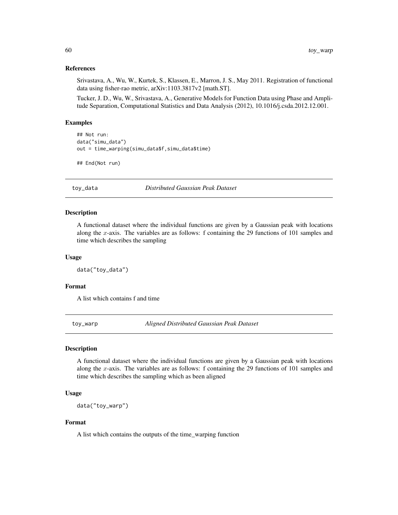#### References

Srivastava, A., Wu, W., Kurtek, S., Klassen, E., Marron, J. S., May 2011. Registration of functional data using fisher-rao metric, arXiv:1103.3817v2 [math.ST].

Tucker, J. D., Wu, W., Srivastava, A., Generative Models for Function Data using Phase and Amplitude Separation, Computational Statistics and Data Analysis (2012), 10.1016/j.csda.2012.12.001.

#### Examples

```
## Not run:
data("simu_data")
out = time_warping(simu_data$f,simu_data$time)
```
## End(Not run)

toy\_data *Distributed Gaussian Peak Dataset*

#### Description

A functional dataset where the individual functions are given by a Gaussian peak with locations along the x-axis. The variables are as follows: f containing the 29 functions of  $101$  samples and time which describes the sampling

#### Usage

data("toy\_data")

#### Format

A list which contains f and time

toy\_warp *Aligned Distributed Gaussian Peak Dataset*

### Description

A functional dataset where the individual functions are given by a Gaussian peak with locations along the x-axis. The variables are as follows: f containing the 29 functions of  $101$  samples and time which describes the sampling which as been aligned

#### Usage

data("toy\_warp")

#### Format

A list which contains the outputs of the time\_warping function

<span id="page-59-0"></span>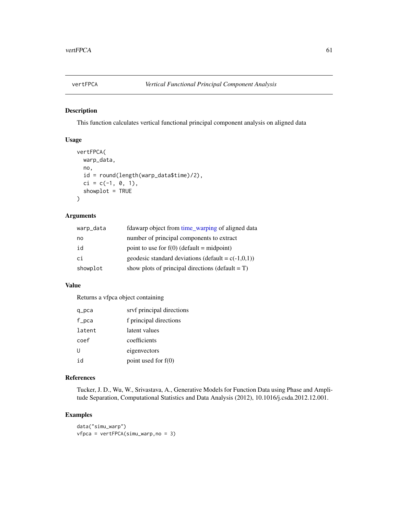<span id="page-60-0"></span>

### Description

This function calculates vertical functional principal component analysis on aligned data

### Usage

```
vertFPCA(
  warp_data,
  no,
  id = round(length(warp_data$time)/2),
  ci = c(-1, 0, 1),showplot = TRUE
\mathcal{L}
```
#### Arguments

| warp_data | fdawarp object from time_warping of aligned data      |
|-----------|-------------------------------------------------------|
| no        | number of principal components to extract             |
| id        | point to use for $f(0)$ (default = midpoint)          |
| сi        | geodesic standard deviations (default = $c(-1,0,1)$ ) |
| showplot  | show plots of principal directions (default $= T$ )   |

### Value

Returns a vfpca object containing

| q_pca  | srvf principal directions |
|--------|---------------------------|
| f_pca  | f principal directions    |
| latent | latent values             |
| coef   | coefficients              |
| U      | eigenvectors              |
| id     | point used for $f(0)$     |

### References

Tucker, J. D., Wu, W., Srivastava, A., Generative Models for Function Data using Phase and Amplitude Separation, Computational Statistics and Data Analysis (2012), 10.1016/j.csda.2012.12.001.

```
data("simu_warp")
vfpca = vertFPCA(simu_warp,no = 3)
```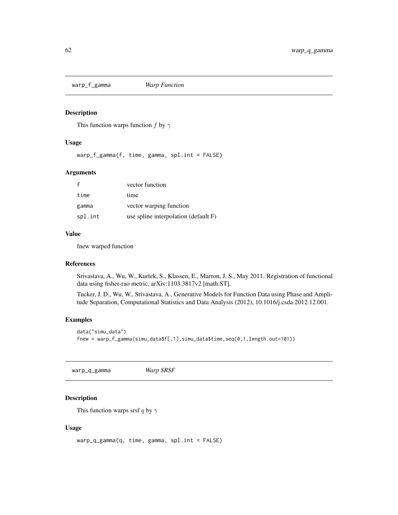<span id="page-61-0"></span>warp\_f\_gamma *Warp Function*

#### Description

This function warps function f by  $\gamma$ 

### Usage

warp\_f\_gamma(f, time, gamma, spl.int = FALSE)

### Arguments

|         | vector function                      |
|---------|--------------------------------------|
| time    | time                                 |
| gamma   | vector warping function              |
| spl.int | use spline interpolation (default F) |

### Value

fnew warped function

#### References

Srivastava, A., Wu, W., Kurtek, S., Klassen, E., Marron, J. S., May 2011. Registration of functional data using fisher-rao metric, arXiv:1103.3817v2 [math.ST].

Tucker, J. D., Wu, W., Srivastava, A., Generative Models for Function Data using Phase and Amplitude Separation, Computational Statistics and Data Analysis (2012), 10.1016/j.csda.2012.12.001.

### Examples

```
data("simu_data")
fnew = warp_f_gamma(simu_data$f[,1],simu_data$time,seq(0,1,length.out=101))
```
warp\_q\_gamma *Warp SRSF*

### Description

This function warps srsf q by  $\gamma$ 

#### Usage

warp\_q\_gamma(q, time, gamma, spl.int = FALSE)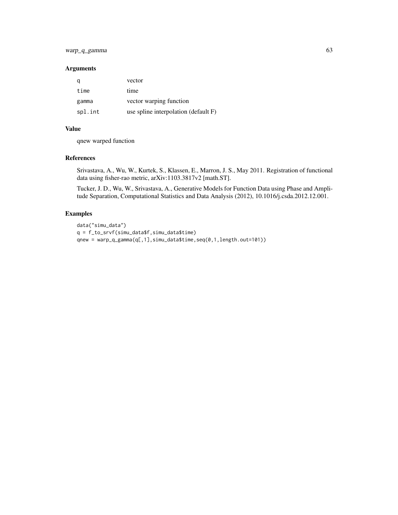### warp\_q\_gamma 63

#### Arguments

|         | vector                               |
|---------|--------------------------------------|
| time    | time                                 |
| gamma   | vector warping function              |
| spl.int | use spline interpolation (default F) |

### Value

qnew warped function

#### References

Srivastava, A., Wu, W., Kurtek, S., Klassen, E., Marron, J. S., May 2011. Registration of functional data using fisher-rao metric, arXiv:1103.3817v2 [math.ST].

Tucker, J. D., Wu, W., Srivastava, A., Generative Models for Function Data using Phase and Amplitude Separation, Computational Statistics and Data Analysis (2012), 10.1016/j.csda.2012.12.001.

```
data("simu_data")
q = f_to_srvf(simu_data$f,simu_data$time)
qnew = warp_q_gamma(q[,1],simu_data$time,seq(0,1,length.out=101))
```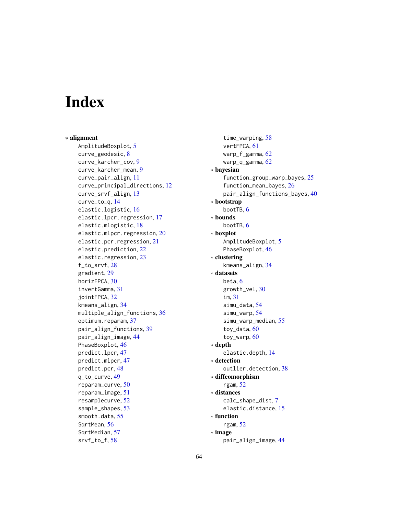# <span id="page-63-0"></span>**Index**

∗ alignment AmplitudeBoxplot, [5](#page-4-0) curve\_geodesic, [8](#page-7-0) curve\_karcher\_cov, [9](#page-8-0) curve\_karcher\_mean, [9](#page-8-0) curve\_pair\_align, [11](#page-10-0) curve\_principal\_directions, [12](#page-11-0) curve\_srvf\_align, [13](#page-12-0) curve\_to\_q, [14](#page-13-0) elastic.logistic, [16](#page-15-0) elastic.lpcr.regression, [17](#page-16-0) elastic.mlogistic, [18](#page-17-0) elastic.mlpcr.regression, [20](#page-19-0) elastic.pcr.regression, [21](#page-20-0) elastic.prediction, [22](#page-21-0) elastic.regression, [23](#page-22-0) f\_to\_srvf, [28](#page-27-0) gradient, [29](#page-28-0) horizFPCA, [30](#page-29-0) invertGamma, [31](#page-30-0) jointFPCA, [32](#page-31-0) kmeans\_align, [34](#page-33-0) multiple\_align\_functions, [36](#page-35-0) optimum.reparam, [37](#page-36-0) pair\_align\_functions, [39](#page-38-0) pair\_align\_image, [44](#page-43-0) PhaseBoxplot, [46](#page-45-0) predict.lpcr, [47](#page-46-0) predict.mlpcr, [47](#page-46-0) predict.pcr, [48](#page-47-0) q\_to\_curve, [49](#page-48-0) reparam\_curve, [50](#page-49-0) reparam\_image, [51](#page-50-0) resamplecurve, [52](#page-51-0) sample\_shapes, [53](#page-52-0) smooth.data, [55](#page-54-0) SqrtMean, [56](#page-55-0) SqrtMedian, [57](#page-56-0) srvf\_to\_f, [58](#page-57-0)

time\_warping, [58](#page-57-0) vertFPCA, [61](#page-60-0) warp\_f\_gamma, [62](#page-61-0) warp\_q\_gamma, [62](#page-61-0) ∗ bayesian function\_group\_warp\_bayes, [25](#page-24-0) function\_mean\_bayes, [26](#page-25-0) pair\_align\_functions\_bayes, [40](#page-39-0) ∗ bootstrap bootTB, [6](#page-5-0) ∗ bounds bootTB, [6](#page-5-0) ∗ boxplot AmplitudeBoxplot, [5](#page-4-0) PhaseBoxplot, [46](#page-45-0) ∗ clustering kmeans\_align, [34](#page-33-0) ∗ datasets beta, [6](#page-5-0) growth\_vel, [30](#page-29-0) im, [31](#page-30-0) simu\_data, [54](#page-53-0) simu\_warp, [54](#page-53-0) simu\_warp\_median, [55](#page-54-0) toy\_data, [60](#page-59-0) toy\_warp, [60](#page-59-0) ∗ depth elastic.depth, [14](#page-13-0) ∗ detection outlier.detection, [38](#page-37-0) ∗ diffeomorphism rgam, [52](#page-51-0) ∗ distances calc\_shape\_dist, [7](#page-6-0) elastic.distance, [15](#page-14-0) ∗ function rgam, [52](#page-51-0) ∗ image pair\_align\_image, [44](#page-43-0)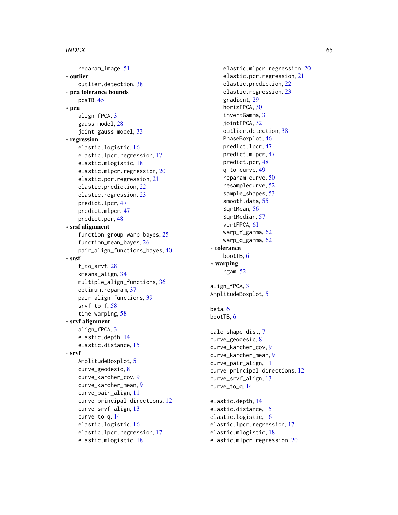#### INDEX 65

```
reparam_image
, 51
∗ outlier
    outlier.detection
, 38
∗ pca tolerance bounds
    pcaTB
, 45
∗ pca
    3
    gauss_model
, 28
    joint_gauss_model
, 33
∗ regression
    elastic.logistic
, 16
    elastic.lpcr.regression
, 17
    elastic.mlogistic
, 18
    elastic.mlpcr.regression
, 20
    elastic.pcr.regression
, 21
    elastic.prediction
, 22
    elastic.regression
, 23
    predict.lpcr
, 47
    predict.mlpcr
, 47
    predict.pcr
, 48
∗ srsf alignment
    function_group_warp_bayes
, 25
    function_mean_bayes
, 26
    pair_align_functions_bayes
, 40
∗ srsf
    f_to_srvf
, 28
    kmeans_align
, 34
    multiple_align_functions
, 36
    37
    pair_align_functions
, 39
    srvf_to_f
, 58
    time_warping
, 58
∗ srvf alignment
    3
    elastic.depth
, 14
    elastic.distance
, 15
∗ srvf
    5
    curve_geodesic
,
8
    curve_karcher_cov
,
9
    curve_karcher_mean
,
9
    curve_pair_align
, 11
    curve_principal_directions
, 12
    curve_srvf_align
, 13
    curve_to_q
, 14
    elastic.logistic
, 16
    elastic.lpcr.regression
, 17
    elastic.mlogistic
, 18
```
elastic.mlpcr.regression , [20](#page-19-0) elastic.pcr.regression , [21](#page-20-0) elastic.prediction , [22](#page-21-0) elastic.regression , [23](#page-22-0) gradient , [29](#page-28-0) horizFPCA, [30](#page-29-0) invertGamma , [31](#page-30-0) jointFPCA, [32](#page-31-0) outlier.detection , [38](#page-37-0) PhaseBoxplot, [46](#page-45-0) predict.lpcr , [47](#page-46-0) predict.mlpcr , [47](#page-46-0) predict.pcr , [48](#page-47-0) q\_to\_curve , [49](#page-48-0) reparam\_curve , [50](#page-49-0) resamplecurve , [52](#page-51-0) sample\_shapes, [53](#page-52-0) smooth.data, [55](#page-54-0) SqrtMean , [56](#page-55-0) SqrtMedian , [57](#page-56-0) vertFPCA , [61](#page-60-0) warp\_f\_gamma, <mark>6</mark>2 warp\_q\_gamma,[62](#page-61-0) ∗ tolerance bootTB, [6](#page-5-0) ∗ warping rgam , [52](#page-51-0) align\_fPCA, [3](#page-2-0) AmplitudeBoxplot, [5](#page-4-0) beta, <mark>[6](#page-5-0)</mark> bootTB, [6](#page-5-0) calc\_shape\_dist , [7](#page-6-0) curve\_geodesic , [8](#page-7-0) curve\_karcher\_cov , [9](#page-8-0) curve\_karcher\_mean , [9](#page-8-0) curve\_pair\_align , [11](#page-10-0) curve\_principal\_directions , [12](#page-11-0) curve\_srvf\_align , [13](#page-12-0) curve\_to\_q , [14](#page-13-0) elastic.depth , [14](#page-13-0) elastic.distance , [15](#page-14-0) elastic.logistic , [16](#page-15-0) elastic.lpcr.regression , [17](#page-16-0) elastic.mlogistic , [18](#page-17-0) elastic.mlpcr.regression , [20](#page-19-0)